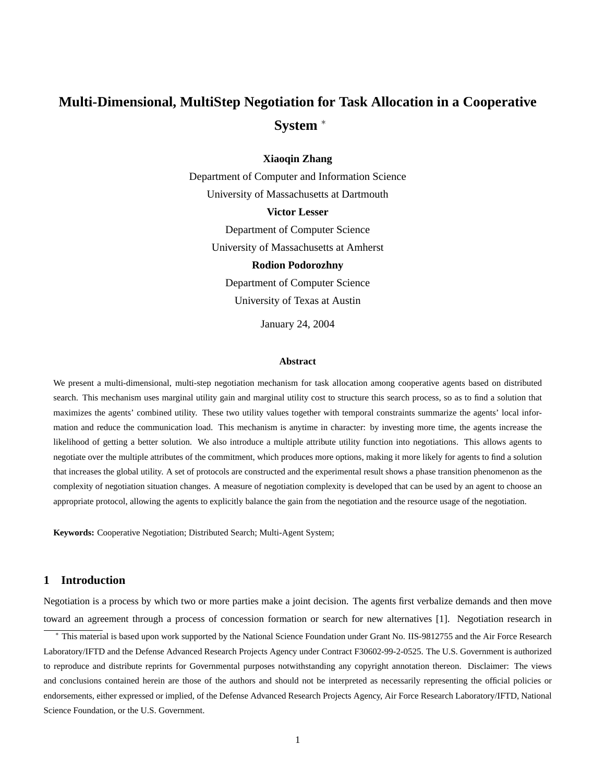# **Multi-Dimensional, MultiStep Negotiation for Task Allocation in a Cooperative System** <sup>∗</sup>

**Xiaoqin Zhang**

Department of Computer and Information Science University of Massachusetts at Dartmouth **Victor Lesser** Department of Computer Science University of Massachusetts at Amherst **Rodion Podorozhny** Department of Computer Science University of Texas at Austin

January 24, 2004

### **Abstract**

We present a multi-dimensional, multi-step negotiation mechanism for task allocation among cooperative agents based on distributed search. This mechanism uses marginal utility gain and marginal utility cost to structure this search process, so as to find a solution that maximizes the agents' combined utility. These two utility values together with temporal constraints summarize the agents' local information and reduce the communication load. This mechanism is anytime in character: by investing more time, the agents increase the likelihood of getting a better solution. We also introduce a multiple attribute utility function into negotiations. This allows agents to negotiate over the multiple attributes of the commitment, which produces more options, making it more likely for agents to find a solution that increases the global utility. A set of protocols are constructed and the experimental result shows a phase transition phenomenon as the complexity of negotiation situation changes. A measure of negotiation complexity is developed that can be used by an agent to choose an appropriate protocol, allowing the agents to explicitly balance the gain from the negotiation and the resource usage of the negotiation.

**Keywords:** Cooperative Negotiation; Distributed Search; Multi-Agent System;

# **1 Introduction**

Negotiation is a process by which two or more parties make a joint decision. The agents first verbalize demands and then move toward an agreement through a process of concession formation or search for new alternatives [1]. Negotiation research in

<sup>∗</sup> This material is based upon work supported by the National Science Foundation under Grant No. IIS-9812755 and the Air Force Research Laboratory/IFTD and the Defense Advanced Research Projects Agency under Contract F30602-99-2-0525. The U.S. Government is authorized to reproduce and distribute reprints for Governmental purposes notwithstanding any copyright annotation thereon. Disclaimer: The views and conclusions contained herein are those of the authors and should not be interpreted as necessarily representing the official policies or endorsements, either expressed or implied, of the Defense Advanced Research Projects Agency, Air Force Research Laboratory/IFTD, National Science Foundation, or the U.S. Government.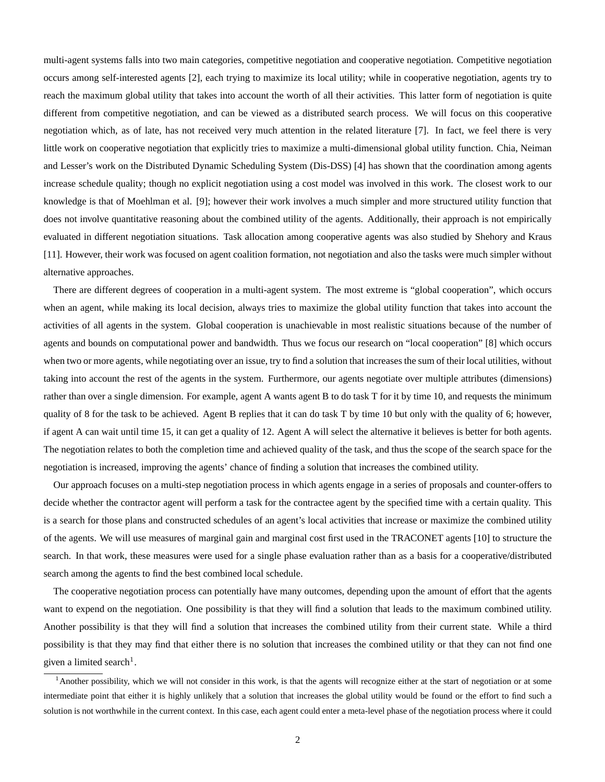multi-agent systems falls into two main categories, competitive negotiation and cooperative negotiation. Competitive negotiation occurs among self-interested agents [2], each trying to maximize its local utility; while in cooperative negotiation, agents try to reach the maximum global utility that takes into account the worth of all their activities. This latter form of negotiation is quite different from competitive negotiation, and can be viewed as a distributed search process. We will focus on this cooperative negotiation which, as of late, has not received very much attention in the related literature [7]. In fact, we feel there is very little work on cooperative negotiation that explicitly tries to maximize a multi-dimensional global utility function. Chia, Neiman and Lesser's work on the Distributed Dynamic Scheduling System (Dis-DSS) [4] has shown that the coordination among agents increase schedule quality; though no explicit negotiation using a cost model was involved in this work. The closest work to our knowledge is that of Moehlman et al. [9]; however their work involves a much simpler and more structured utility function that does not involve quantitative reasoning about the combined utility of the agents. Additionally, their approach is not empirically evaluated in different negotiation situations. Task allocation among cooperative agents was also studied by Shehory and Kraus [11]. However, their work was focused on agent coalition formation, not negotiation and also the tasks were much simpler without alternative approaches.

There are different degrees of cooperation in a multi-agent system. The most extreme is "global cooperation", which occurs when an agent, while making its local decision, always tries to maximize the global utility function that takes into account the activities of all agents in the system. Global cooperation is unachievable in most realistic situations because of the number of agents and bounds on computational power and bandwidth. Thus we focus our research on "local cooperation" [8] which occurs when two or more agents, while negotiating over an issue, try to find a solution that increases the sum of their local utilities, without taking into account the rest of the agents in the system. Furthermore, our agents negotiate over multiple attributes (dimensions) rather than over a single dimension. For example, agent A wants agent B to do task T for it by time 10, and requests the minimum quality of 8 for the task to be achieved. Agent B replies that it can do task T by time 10 but only with the quality of 6; however, if agent A can wait until time 15, it can get a quality of 12. Agent A will select the alternative it believes is better for both agents. The negotiation relates to both the completion time and achieved quality of the task, and thus the scope of the search space for the negotiation is increased, improving the agents' chance of finding a solution that increases the combined utility.

Our approach focuses on a multi-step negotiation process in which agents engage in a series of proposals and counter-offers to decide whether the contractor agent will perform a task for the contractee agent by the specified time with a certain quality. This is a search for those plans and constructed schedules of an agent's local activities that increase or maximize the combined utility of the agents. We will use measures of marginal gain and marginal cost first used in the TRACONET agents [10] to structure the search. In that work, these measures were used for a single phase evaluation rather than as a basis for a cooperative/distributed search among the agents to find the best combined local schedule.

The cooperative negotiation process can potentially have many outcomes, depending upon the amount of effort that the agents want to expend on the negotiation. One possibility is that they will find a solution that leads to the maximum combined utility. Another possibility is that they will find a solution that increases the combined utility from their current state. While a third possibility is that they may find that either there is no solution that increases the combined utility or that they can not find one given a limited search<sup>1</sup>.

<sup>&</sup>lt;sup>1</sup>Another possibility, which we will not consider in this work, is that the agents will recognize either at the start of negotiation or at some intermediate point that either it is highly unlikely that a solution that increases the global utility would be found or the effort to find such a solution is not worthwhile in the current context. In this case, each agent could enter a meta-level phase of the negotiation process where it could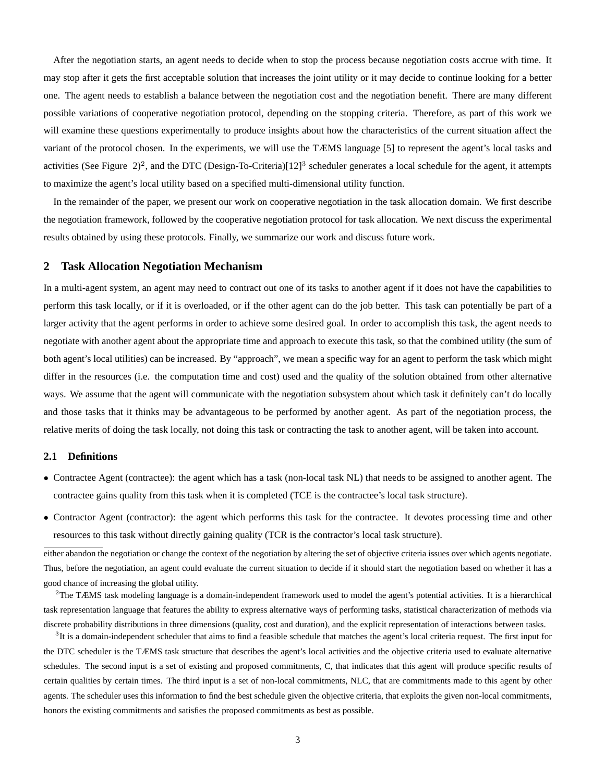After the negotiation starts, an agent needs to decide when to stop the process because negotiation costs accrue with time. It may stop after it gets the first acceptable solution that increases the joint utility or it may decide to continue looking for a better one. The agent needs to establish a balance between the negotiation cost and the negotiation benefit. There are many different possible variations of cooperative negotiation protocol, depending on the stopping criteria. Therefore, as part of this work we will examine these questions experimentally to produce insights about how the characteristics of the current situation affect the variant of the protocol chosen. In the experiments, we will use the TÆMS language [5] to represent the agent's local tasks and activities (See Figure  $2)^2$ , and the DTC (Design-To-Criteria)[12]<sup>3</sup> scheduler generates a local schedule for the agent, it attempts to maximize the agent's local utility based on a specified multi-dimensional utility function.

In the remainder of the paper, we present our work on cooperative negotiation in the task allocation domain. We first describe the negotiation framework, followed by the cooperative negotiation protocol for task allocation. We next discuss the experimental results obtained by using these protocols. Finally, we summarize our work and discuss future work.

# **2 Task Allocation Negotiation Mechanism**

In a multi-agent system, an agent may need to contract out one of its tasks to another agent if it does not have the capabilities to perform this task locally, or if it is overloaded, or if the other agent can do the job better. This task can potentially be part of a larger activity that the agent performs in order to achieve some desired goal. In order to accomplish this task, the agent needs to negotiate with another agent about the appropriate time and approach to execute this task, so that the combined utility (the sum of both agent's local utilities) can be increased. By "approach", we mean a specific way for an agent to perform the task which might differ in the resources (i.e. the computation time and cost) used and the quality of the solution obtained from other alternative ways. We assume that the agent will communicate with the negotiation subsystem about which task it definitely can't do locally and those tasks that it thinks may be advantageous to be performed by another agent. As part of the negotiation process, the relative merits of doing the task locally, not doing this task or contracting the task to another agent, will be taken into account.

# **2.1 Definitions**

- Contractee Agent (contractee): the agent which has a task (non-local task NL) that needs to be assigned to another agent. The contractee gains quality from this task when it is completed (TCE is the contractee's local task structure).
- Contractor Agent (contractor): the agent which performs this task for the contractee. It devotes processing time and other resources to this task without directly gaining quality (TCR is the contractor's local task structure).

either abandon the negotiation or change the context of the negotiation by altering the set of objective criteria issues over which agents negotiate. Thus, before the negotiation, an agent could evaluate the current situation to decide if it should start the negotiation based on whether it has a good chance of increasing the global utility.

 $2$ The TÆMS task modeling language is a domain-independent framework used to model the agent's potential activities. It is a hierarchical task representation language that features the ability to express alternative ways of performing tasks, statistical characterization of methods via discrete probability distributions in three dimensions (quality, cost and duration), and the explicit representation of interactions between tasks.

 $3$ It is a domain-independent scheduler that aims to find a feasible schedule that matches the agent's local criteria request. The first input for the DTC scheduler is the TÆMS task structure that describes the agent's local activities and the objective criteria used to evaluate alternative schedules. The second input is a set of existing and proposed commitments, C, that indicates that this agent will produce specific results of certain qualities by certain times. The third input is a set of non-local commitments, NLC, that are commitments made to this agent by other agents. The scheduler uses this information to find the best schedule given the objective criteria, that exploits the given non-local commitments, honors the existing commitments and satisfies the proposed commitments as best as possible.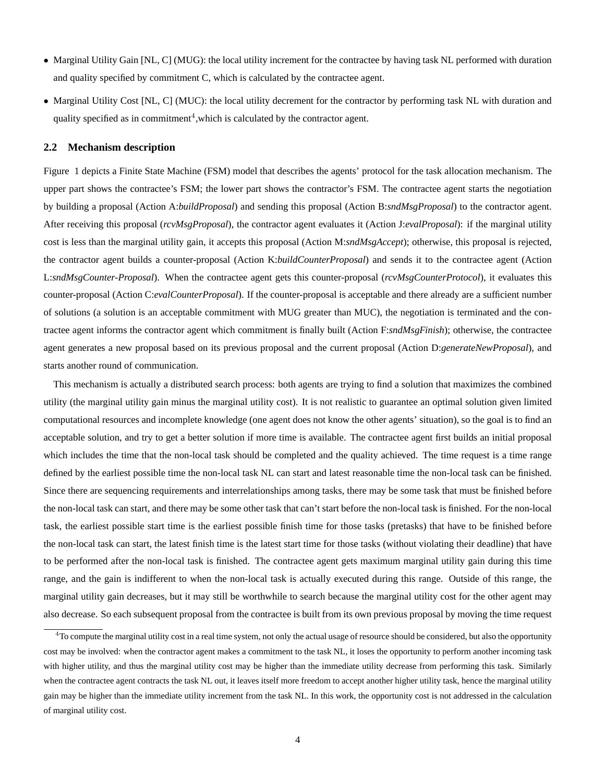- Marginal Utility Gain [NL, C] (MUG): the local utility increment for the contractee by having task NL performed with duration and quality specified by commitment C, which is calculated by the contractee agent.
- Marginal Utility Cost [NL, C] (MUC): the local utility decrement for the contractor by performing task NL with duration and quality specified as in commitment<sup>4</sup>, which is calculated by the contractor agent.

#### **2.2 Mechanism description**

Figure 1 depicts a Finite State Machine (FSM) model that describes the agents' protocol for the task allocation mechanism. The upper part shows the contractee's FSM; the lower part shows the contractor's FSM. The contractee agent starts the negotiation by building a proposal (Action A:*buildProposal*) and sending this proposal (Action B:*sndMsgProposal*) to the contractor agent. After receiving this proposal (*rcvMsgProposal*), the contractor agent evaluates it (Action J:*evalProposal*): if the marginal utility cost is less than the marginal utility gain, it accepts this proposal (Action M:*sndMsgAccept*); otherwise, this proposal is rejected, the contractor agent builds a counter-proposal (Action K:*buildCounterProposal*) and sends it to the contractee agent (Action L:*sndMsgCounter-Proposal*). When the contractee agent gets this counter-proposal (*rcvMsgCounterProtocol*), it evaluates this counter-proposal (Action C:*evalCounterProposal*). If the counter-proposal is acceptable and there already are a sufficient number of solutions (a solution is an acceptable commitment with MUG greater than MUC), the negotiation is terminated and the contractee agent informs the contractor agent which commitment is finally built (Action F:*sndMsgFinish*); otherwise, the contractee agent generates a new proposal based on its previous proposal and the current proposal (Action D:*generateNewProposal*), and starts another round of communication.

This mechanism is actually a distributed search process: both agents are trying to find a solution that maximizes the combined utility (the marginal utility gain minus the marginal utility cost). It is not realistic to guarantee an optimal solution given limited computational resources and incomplete knowledge (one agent does not know the other agents' situation), so the goal is to find an acceptable solution, and try to get a better solution if more time is available. The contractee agent first builds an initial proposal which includes the time that the non-local task should be completed and the quality achieved. The time request is a time range defined by the earliest possible time the non-local task NL can start and latest reasonable time the non-local task can be finished. Since there are sequencing requirements and interrelationships among tasks, there may be some task that must be finished before the non-local task can start, and there may be some other task that can't start before the non-local task is finished. For the non-local task, the earliest possible start time is the earliest possible finish time for those tasks (pretasks) that have to be finished before the non-local task can start, the latest finish time is the latest start time for those tasks (without violating their deadline) that have to be performed after the non-local task is finished. The contractee agent gets maximum marginal utility gain during this time range, and the gain is indifferent to when the non-local task is actually executed during this range. Outside of this range, the marginal utility gain decreases, but it may still be worthwhile to search because the marginal utility cost for the other agent may also decrease. So each subsequent proposal from the contractee is built from its own previous proposal by moving the time request

 $4$ To compute the marginal utility cost in a real time system, not only the actual usage of resource should be considered, but also the opportunity cost may be involved: when the contractor agent makes a commitment to the task NL, it loses the opportunity to perform another incoming task with higher utility, and thus the marginal utility cost may be higher than the immediate utility decrease from performing this task. Similarly when the contractee agent contracts the task NL out, it leaves itself more freedom to accept another higher utility task, hence the marginal utility gain may be higher than the immediate utility increment from the task NL. In this work, the opportunity cost is not addressed in the calculation of marginal utility cost.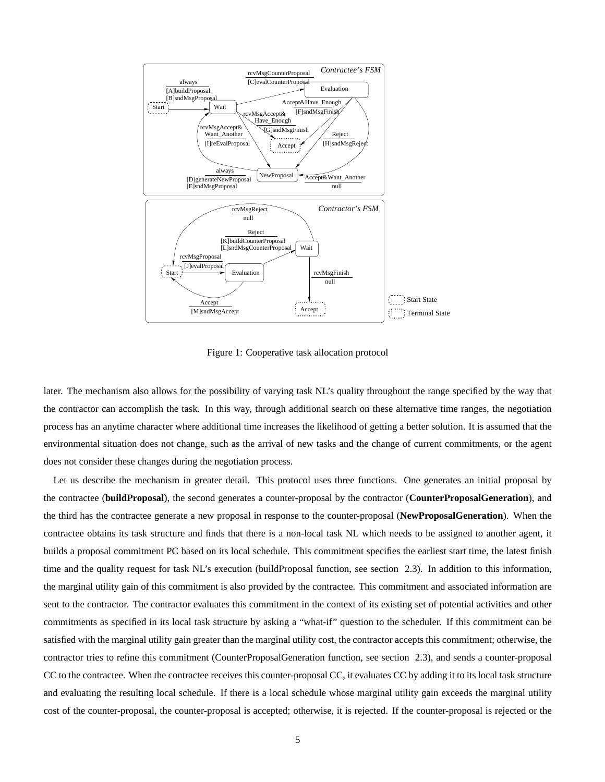

Figure 1: Cooperative task allocation protocol

later. The mechanism also allows for the possibility of varying task NL's quality throughout the range specified by the way that the contractor can accomplish the task. In this way, through additional search on these alternative time ranges, the negotiation process has an anytime character where additional time increases the likelihood of getting a better solution. It is assumed that the environmental situation does not change, such as the arrival of new tasks and the change of current commitments, or the agent does not consider these changes during the negotiation process.

Let us describe the mechanism in greater detail. This protocol uses three functions. One generates an initial proposal by the contractee (**buildProposal**), the second generates a counter-proposal by the contractor (**CounterProposalGeneration**), and the third has the contractee generate a new proposal in response to the counter-proposal (**NewProposalGeneration**). When the contractee obtains its task structure and finds that there is a non-local task NL which needs to be assigned to another agent, it builds a proposal commitment PC based on its local schedule. This commitment specifies the earliest start time, the latest finish time and the quality request for task NL's execution (buildProposal function, see section 2.3). In addition to this information, the marginal utility gain of this commitment is also provided by the contractee. This commitment and associated information are sent to the contractor. The contractor evaluates this commitment in the context of its existing set of potential activities and other commitments as specified in its local task structure by asking a "what-if" question to the scheduler. If this commitment can be satisfied with the marginal utility gain greater than the marginal utility cost, the contractor accepts this commitment; otherwise, the contractor tries to refine this commitment (CounterProposalGeneration function, see section 2.3), and sends a counter-proposal CC to the contractee. When the contractee receives this counter-proposal CC, it evaluates CC by adding it to its local task structure and evaluating the resulting local schedule. If there is a local schedule whose marginal utility gain exceeds the marginal utility cost of the counter-proposal, the counter-proposal is accepted; otherwise, it is rejected. If the counter-proposal is rejected or the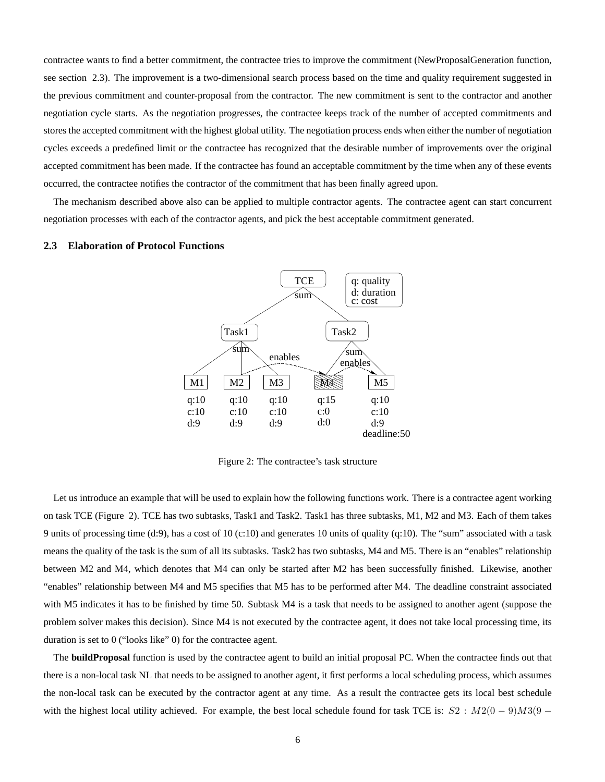contractee wants to find a better commitment, the contractee tries to improve the commitment (NewProposalGeneration function, see section 2.3). The improvement is a two-dimensional search process based on the time and quality requirement suggested in the previous commitment and counter-proposal from the contractor. The new commitment is sent to the contractor and another negotiation cycle starts. As the negotiation progresses, the contractee keeps track of the number of accepted commitments and stores the accepted commitment with the highest global utility. The negotiation process ends when either the number of negotiation cycles exceeds a predefined limit or the contractee has recognized that the desirable number of improvements over the original accepted commitment has been made. If the contractee has found an acceptable commitment by the time when any of these events occurred, the contractee notifies the contractor of the commitment that has been finally agreed upon.

The mechanism described above also can be applied to multiple contractor agents. The contractee agent can start concurrent negotiation processes with each of the contractor agents, and pick the best acceptable commitment generated.

## **2.3 Elaboration of Protocol Functions**



Figure 2: The contractee's task structure

Let us introduce an example that will be used to explain how the following functions work. There is a contractee agent working on task TCE (Figure 2). TCE has two subtasks, Task1 and Task2. Task1 has three subtasks, M1, M2 and M3. Each of them takes 9 units of processing time (d:9), has a cost of 10 (c:10) and generates 10 units of quality (q:10). The "sum" associated with a task means the quality of the task is the sum of all its subtasks. Task2 has two subtasks, M4 and M5. There is an "enables" relationship between M2 and M4, which denotes that M4 can only be started after M2 has been successfully finished. Likewise, another "enables" relationship between M4 and M5 specifies that M5 has to be performed after M4. The deadline constraint associated with M5 indicates it has to be finished by time 50. Subtask M4 is a task that needs to be assigned to another agent (suppose the problem solver makes this decision). Since M4 is not executed by the contractee agent, it does not take local processing time, its duration is set to 0 ("looks like" 0) for the contractee agent.

The **buildProposal** function is used by the contractee agent to build an initial proposal PC. When the contractee finds out that there is a non-local task NL that needs to be assigned to another agent, it first performs a local scheduling process, which assumes the non-local task can be executed by the contractor agent at any time. As a result the contractee gets its local best schedule with the highest local utility achieved. For example, the best local schedule found for task TCE is:  $S2 : M2(0-9)M3(9-$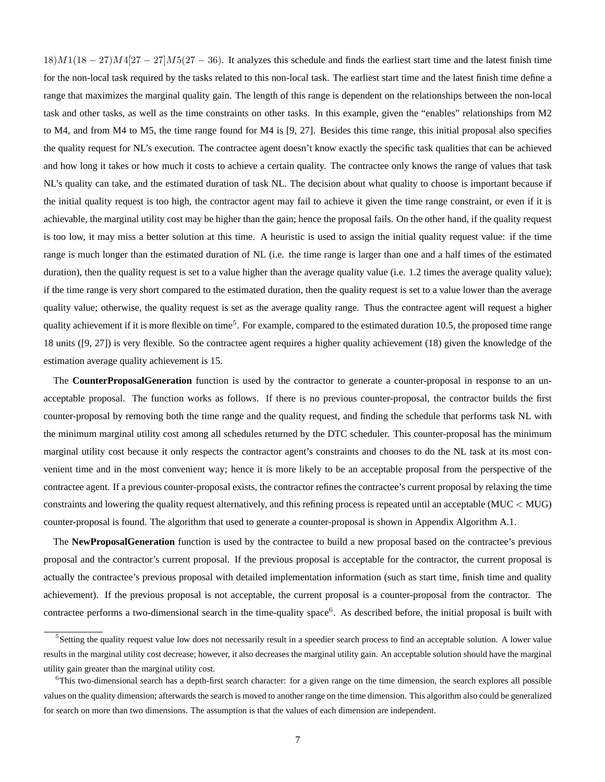$18)M1(18-27)M4[27-27]M5(27-36)$ . It analyzes this schedule and finds the earliest start time and the latest finish time for the non-local task required by the tasks related to this non-local task. The earliest start time and the latest finish time define a range that maximizes the marginal quality gain. The length of this range is dependent on the relationships between the non-local task and other tasks, as well as the time constraints on other tasks. In this example, given the "enables" relationships from M2 to M4, and from M4 to M5, the time range found for M4 is [9, 27]. Besides this time range, this initial proposal also specifies the quality request for NL's execution. The contractee agent doesn't know exactly the specific task qualities that can be achieved and how long it takes or how much it costs to achieve a certain quality. The contractee only knows the range of values that task NL's quality can take, and the estimated duration of task NL. The decision about what quality to choose is important because if the initial quality request is too high, the contractor agent may fail to achieve it given the time range constraint, or even if it is achievable, the marginal utility cost may be higher than the gain; hence the proposal fails. On the other hand, if the quality request is too low, it may miss a better solution at this time. A heuristic is used to assign the initial quality request value: if the time range is much longer than the estimated duration of NL (i.e. the time range is larger than one and a half times of the estimated duration), then the quality request is set to a value higher than the average quality value (i.e. 1.2 times the average quality value); if the time range is very short compared to the estimated duration, then the quality request is set to a value lower than the average quality value; otherwise, the quality request is set as the average quality range. Thus the contractee agent will request a higher quality achievement if it is more flexible on time<sup>5</sup>. For example, compared to the estimated duration 10.5, the proposed time range 18 units ([9, 27]) is very flexible. So the contractee agent requires a higher quality achievement (18) given the knowledge of the estimation average quality achievement is 15.

The **CounterProposalGeneration** function is used by the contractor to generate a counter-proposal in response to an unacceptable proposal. The function works as follows. If there is no previous counter-proposal, the contractor builds the first counter-proposal by removing both the time range and the quality request, and finding the schedule that performs task NL with the minimum marginal utility cost among all schedules returned by the DTC scheduler. This counter-proposal has the minimum marginal utility cost because it only respects the contractor agent's constraints and chooses to do the NL task at its most convenient time and in the most convenient way; hence it is more likely to be an acceptable proposal from the perspective of the contractee agent. If a previous counter-proposal exists, the contractor refines the contractee's current proposal by relaxing the time constraints and lowering the quality request alternatively, and this refining process is repeated until an acceptable (MUC < MUG) counter-proposal is found. The algorithm that used to generate a counter-proposal is shown in Appendix Algorithm A.1.

The **NewProposalGeneration** function is used by the contractee to build a new proposal based on the contractee's previous proposal and the contractor's current proposal. If the previous proposal is acceptable for the contractor, the current proposal is actually the contractee's previous proposal with detailed implementation information (such as start time, finish time and quality achievement). If the previous proposal is not acceptable, the current proposal is a counter-proposal from the contractor. The contractee performs a two-dimensional search in the time-quality space<sup>6</sup>. As described before, the initial proposal is built with

<sup>&</sup>lt;sup>5</sup>Setting the quality request value low does not necessarily result in a speedier search process to find an acceptable solution. A lower value results in the marginal utility cost decrease; however, it also decreases the marginal utility gain. An acceptable solution should have the marginal utility gain greater than the marginal utility cost.

 $6$ This two-dimensional search has a depth-first search character: for a given range on the time dimension, the search explores all possible values on the quality dimension; afterwards the search is moved to another range on the time dimension. This algorithm also could be generalized for search on more than two dimensions. The assumption is that the values of each dimension are independent.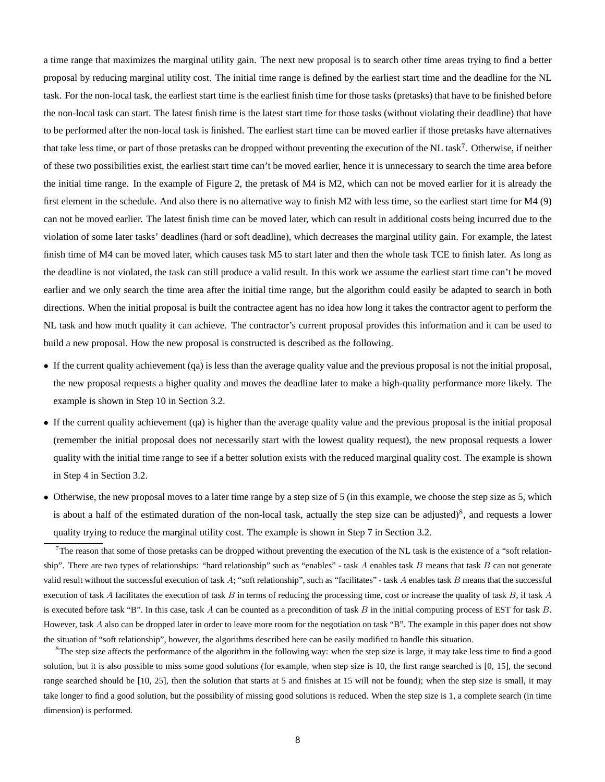a time range that maximizes the marginal utility gain. The next new proposal is to search other time areas trying to find a better proposal by reducing marginal utility cost. The initial time range is defined by the earliest start time and the deadline for the NL task. For the non-local task, the earliest start time is the earliest finish time for those tasks (pretasks) that have to be finished before the non-local task can start. The latest finish time is the latest start time for those tasks (without violating their deadline) that have to be performed after the non-local task is finished. The earliest start time can be moved earlier if those pretasks have alternatives that take less time, or part of those pretasks can be dropped without preventing the execution of the NL task<sup>7</sup>. Otherwise, if neither of these two possibilities exist, the earliest start time can't be moved earlier, hence it is unnecessary to search the time area before the initial time range. In the example of Figure 2, the pretask of M4 is M2, which can not be moved earlier for it is already the first element in the schedule. And also there is no alternative way to finish M2 with less time, so the earliest start time for M4 (9) can not be moved earlier. The latest finish time can be moved later, which can result in additional costs being incurred due to the violation of some later tasks' deadlines (hard or soft deadline), which decreases the marginal utility gain. For example, the latest finish time of M4 can be moved later, which causes task M5 to start later and then the whole task TCE to finish later. As long as the deadline is not violated, the task can still produce a valid result. In this work we assume the earliest start time can't be moved earlier and we only search the time area after the initial time range, but the algorithm could easily be adapted to search in both directions. When the initial proposal is built the contractee agent has no idea how long it takes the contractor agent to perform the NL task and how much quality it can achieve. The contractor's current proposal provides this information and it can be used to build a new proposal. How the new proposal is constructed is described as the following.

- If the current quality achievement (qa) is less than the average quality value and the previous proposal is not the initial proposal, the new proposal requests a higher quality and moves the deadline later to make a high-quality performance more likely. The example is shown in Step 10 in Section 3.2.
- If the current quality achievement (qa) is higher than the average quality value and the previous proposal is the initial proposal (remember the initial proposal does not necessarily start with the lowest quality request), the new proposal requests a lower quality with the initial time range to see if a better solution exists with the reduced marginal quality cost. The example is shown in Step 4 in Section 3.2.
- Otherwise, the new proposal moves to a later time range by a step size of 5 (in this example, we choose the step size as 5, which is about a half of the estimated duration of the non-local task, actually the step size can be adjusted)<sup>8</sup>, and requests a lower quality trying to reduce the marginal utility cost. The example is shown in Step 7 in Section 3.2.

 ${}^8$ The step size affects the performance of the algorithm in the following way: when the step size is large, it may take less time to find a good solution, but it is also possible to miss some good solutions (for example, when step size is 10, the first range searched is [0, 15], the second range searched should be [10, 25], then the solution that starts at 5 and finishes at 15 will not be found); when the step size is small, it may take longer to find a good solution, but the possibility of missing good solutions is reduced. When the step size is 1, a complete search (in time dimension) is performed.

 $7$ The reason that some of those pretasks can be dropped without preventing the execution of the NL task is the existence of a "soft relationship". There are two types of relationships: "hard relationship" such as "enables" - task A enables task B means that task B can not generate valid result without the successful execution of task  $A$ ; "soft relationship", such as "facilitates" - task  $A$  enables task  $B$  means that the successful execution of task A facilitates the execution of task B in terms of reducing the processing time, cost or increase the quality of task B, if task A is executed before task "B". In this case, task A can be counted as a precondition of task B in the initial computing process of EST for task B. However, task  $A$  also can be dropped later in order to leave more room for the negotiation on task "B". The example in this paper does not show the situation of "soft relationship", however, the algorithms described here can be easily modified to handle this situation.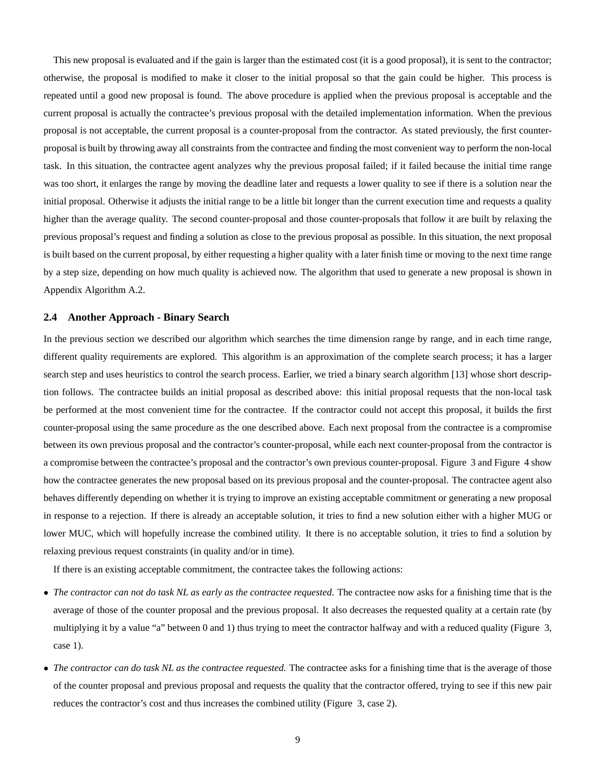This new proposal is evaluated and if the gain is larger than the estimated cost (it is a good proposal), it is sent to the contractor; otherwise, the proposal is modified to make it closer to the initial proposal so that the gain could be higher. This process is repeated until a good new proposal is found. The above procedure is applied when the previous proposal is acceptable and the current proposal is actually the contractee's previous proposal with the detailed implementation information. When the previous proposal is not acceptable, the current proposal is a counter-proposal from the contractor. As stated previously, the first counterproposal is built by throwing away all constraints from the contractee and finding the most convenient way to perform the non-local task. In this situation, the contractee agent analyzes why the previous proposal failed; if it failed because the initial time range was too short, it enlarges the range by moving the deadline later and requests a lower quality to see if there is a solution near the initial proposal. Otherwise it adjusts the initial range to be a little bit longer than the current execution time and requests a quality higher than the average quality. The second counter-proposal and those counter-proposals that follow it are built by relaxing the previous proposal's request and finding a solution as close to the previous proposal as possible. In this situation, the next proposal is built based on the current proposal, by either requesting a higher quality with a later finish time or moving to the next time range by a step size, depending on how much quality is achieved now. The algorithm that used to generate a new proposal is shown in Appendix Algorithm A.2.

#### **2.4 Another Approach - Binary Search**

In the previous section we described our algorithm which searches the time dimension range by range, and in each time range, different quality requirements are explored. This algorithm is an approximation of the complete search process; it has a larger search step and uses heuristics to control the search process. Earlier, we tried a binary search algorithm [13] whose short description follows. The contractee builds an initial proposal as described above: this initial proposal requests that the non-local task be performed at the most convenient time for the contractee. If the contractor could not accept this proposal, it builds the first counter-proposal using the same procedure as the one described above. Each next proposal from the contractee is a compromise between its own previous proposal and the contractor's counter-proposal, while each next counter-proposal from the contractor is a compromise between the contractee's proposal and the contractor's own previous counter-proposal. Figure 3 and Figure 4 show how the contractee generates the new proposal based on its previous proposal and the counter-proposal. The contractee agent also behaves differently depending on whether it is trying to improve an existing acceptable commitment or generating a new proposal in response to a rejection. If there is already an acceptable solution, it tries to find a new solution either with a higher MUG or lower MUC, which will hopefully increase the combined utility. It there is no acceptable solution, it tries to find a solution by relaxing previous request constraints (in quality and/or in time).

If there is an existing acceptable commitment, the contractee takes the following actions:

- *The contractor can not do task NL as early as the contractee requested*. The contractee now asks for a finishing time that is the average of those of the counter proposal and the previous proposal. It also decreases the requested quality at a certain rate (by multiplying it by a value "a" between 0 and 1) thus trying to meet the contractor halfway and with a reduced quality (Figure 3, case 1).
- *The contractor can do task NL as the contractee requested.* The contractee asks for a finishing time that is the average of those of the counter proposal and previous proposal and requests the quality that the contractor offered, trying to see if this new pair reduces the contractor's cost and thus increases the combined utility (Figure 3, case 2).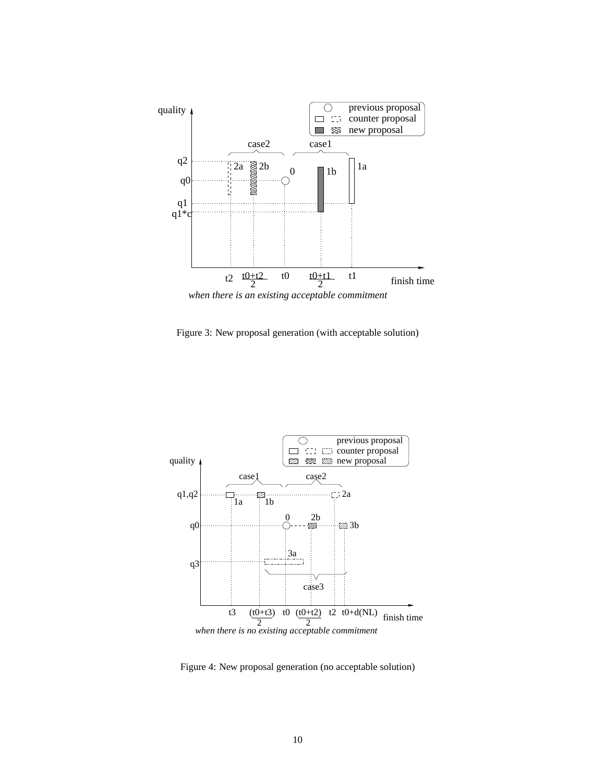

Figure 3: New proposal generation (with acceptable solution)



Figure 4: New proposal generation (no acceptable solution)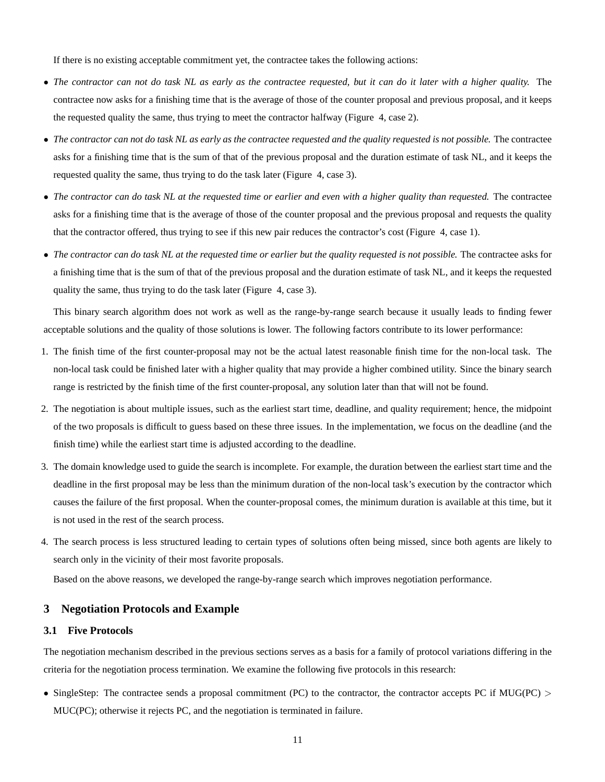If there is no existing acceptable commitment yet, the contractee takes the following actions:

- *The contractor can not do task NL as early as the contractee requested, but it can do it later with a higher quality.* The contractee now asks for a finishing time that is the average of those of the counter proposal and previous proposal, and it keeps the requested quality the same, thus trying to meet the contractor halfway (Figure 4, case 2).
- *The contractor can not do task NL as early as the contractee requested and the quality requested is not possible.* The contractee asks for a finishing time that is the sum of that of the previous proposal and the duration estimate of task NL, and it keeps the requested quality the same, thus trying to do the task later (Figure 4, case 3).
- *The contractor can do task NL at the requested time or earlier and even with a higher quality than requested.* The contractee asks for a finishing time that is the average of those of the counter proposal and the previous proposal and requests the quality that the contractor offered, thus trying to see if this new pair reduces the contractor's cost (Figure 4, case 1).
- *The contractor can do task NL at the requested time or earlier but the quality requested is not possible.* The contractee asks for a finishing time that is the sum of that of the previous proposal and the duration estimate of task NL, and it keeps the requested quality the same, thus trying to do the task later (Figure 4, case 3).

This binary search algorithm does not work as well as the range-by-range search because it usually leads to finding fewer acceptable solutions and the quality of those solutions is lower. The following factors contribute to its lower performance:

- 1. The finish time of the first counter-proposal may not be the actual latest reasonable finish time for the non-local task. The non-local task could be finished later with a higher quality that may provide a higher combined utility. Since the binary search range is restricted by the finish time of the first counter-proposal, any solution later than that will not be found.
- 2. The negotiation is about multiple issues, such as the earliest start time, deadline, and quality requirement; hence, the midpoint of the two proposals is difficult to guess based on these three issues. In the implementation, we focus on the deadline (and the finish time) while the earliest start time is adjusted according to the deadline.
- 3. The domain knowledge used to guide the search is incomplete. For example, the duration between the earliest start time and the deadline in the first proposal may be less than the minimum duration of the non-local task's execution by the contractor which causes the failure of the first proposal. When the counter-proposal comes, the minimum duration is available at this time, but it is not used in the rest of the search process.
- 4. The search process is less structured leading to certain types of solutions often being missed, since both agents are likely to search only in the vicinity of their most favorite proposals.

Based on the above reasons, we developed the range-by-range search which improves negotiation performance.

# **3 Negotiation Protocols and Example**

# **3.1 Five Protocols**

The negotiation mechanism described in the previous sections serves as a basis for a family of protocol variations differing in the criteria for the negotiation process termination. We examine the following five protocols in this research:

• SingleStep: The contractee sends a proposal commitment (PC) to the contractor, the contractor accepts PC if MUG(PC)  $>$ MUC(PC); otherwise it rejects PC, and the negotiation is terminated in failure.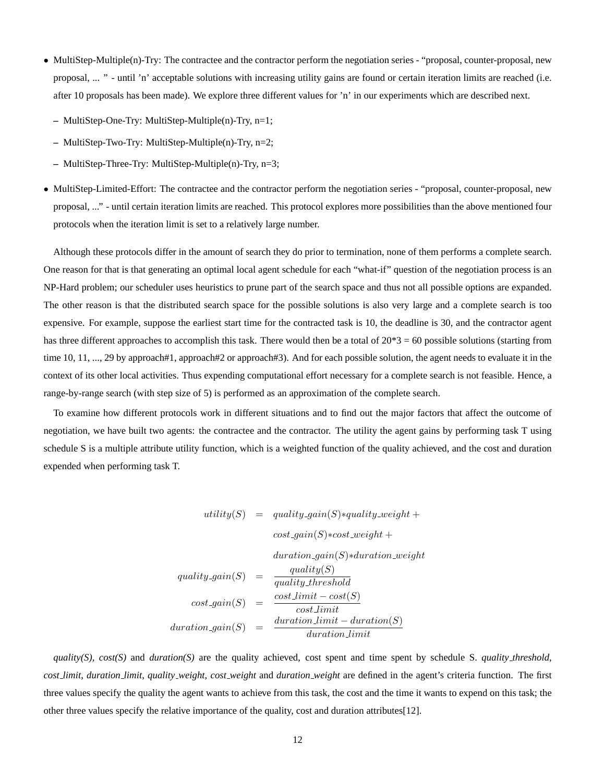- MultiStep-Multiple(n)-Try: The contractee and the contractor perform the negotiation series "proposal, counter-proposal, new proposal, ... " - until 'n' acceptable solutions with increasing utility gains are found or certain iteration limits are reached (i.e. after 10 proposals has been made). We explore three different values for 'n' in our experiments which are described next.
	- **–** MultiStep-One-Try: MultiStep-Multiple(n)-Try, n=1;
	- **–** MultiStep-Two-Try: MultiStep-Multiple(n)-Try, n=2;
	- **–** MultiStep-Three-Try: MultiStep-Multiple(n)-Try, n=3;
- MultiStep-Limited-Effort: The contractee and the contractor perform the negotiation series "proposal, counter-proposal, new proposal, ..." - until certain iteration limits are reached. This protocol explores more possibilities than the above mentioned four protocols when the iteration limit is set to a relatively large number.

Although these protocols differ in the amount of search they do prior to termination, none of them performs a complete search. One reason for that is that generating an optimal local agent schedule for each "what-if" question of the negotiation process is an NP-Hard problem; our scheduler uses heuristics to prune part of the search space and thus not all possible options are expanded. The other reason is that the distributed search space for the possible solutions is also very large and a complete search is too expensive. For example, suppose the earliest start time for the contracted task is 10, the deadline is 30, and the contractor agent has three different approaches to accomplish this task. There would then be a total of  $20*3 = 60$  possible solutions (starting from time 10, 11, ..., 29 by approach#1, approach#2 or approach#3). And for each possible solution, the agent needs to evaluate it in the context of its other local activities. Thus expending computational effort necessary for a complete search is not feasible. Hence, a range-by-range search (with step size of 5) is performed as an approximation of the complete search.

To examine how different protocols work in different situations and to find out the major factors that affect the outcome of negotiation, we have built two agents: the contractee and the contractor. The utility the agent gains by performing task T using schedule S is a multiple attribute utility function, which is a weighted function of the quality achieved, and the cost and duration expended when performing task T.

$$
utility(S) = quality\_gain(S)*quality\_weight +
$$

$$
cost\_gain(S)*cost\_weight +
$$

$$
duration\_gain(S)*duration\_weight
$$

$$
quality\_gain(S) = \frac{quality(S)}{quality\_threshold}
$$

$$
cost\_gain(S) = \frac{cost\_limit - cost(S)}{cost\_limit}
$$

$$
duration\_gain(S) = \frac{duration\_limit - duration(S)}{duration\_limit}
$$

*quality(S), cost(S)* and *duration(S)* are the quality achieved, cost spent and time spent by schedule S. *quality threshold*, *cost limit*, *duration limit*, *quality weight*, *cost weight* and *duration weight* are defined in the agent's criteria function. The first three values specify the quality the agent wants to achieve from this task, the cost and the time it wants to expend on this task; the other three values specify the relative importance of the quality, cost and duration attributes[12].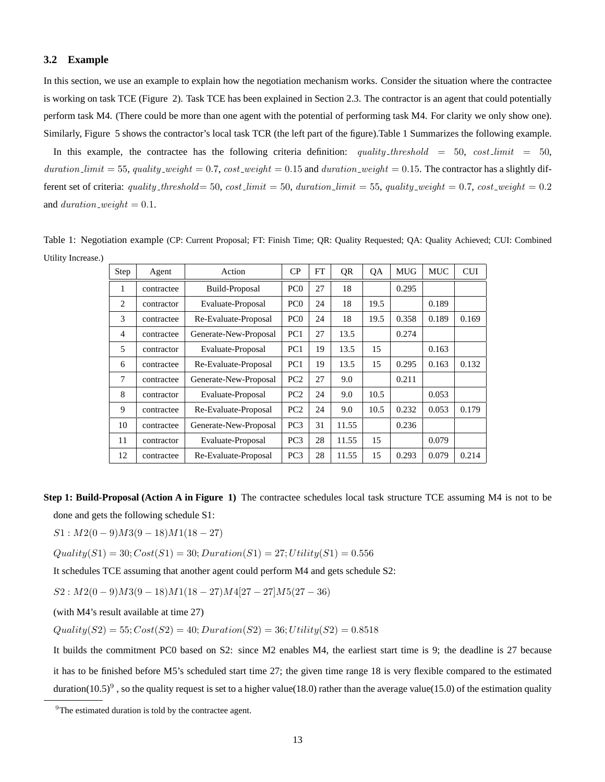# **3.2 Example**

In this section, we use an example to explain how the negotiation mechanism works. Consider the situation where the contractee is working on task TCE (Figure 2). Task TCE has been explained in Section 2.3. The contractor is an agent that could potentially perform task M4. (There could be more than one agent with the potential of performing task M4. For clarity we only show one). Similarly, Figure 5 shows the contractor's local task TCR (the left part of the figure).Table 1 Summarizes the following example.

In this example, the contractee has the following criteria definition: quality threshold = 50, cost limit = 50, duration limit  $= 55$ , quality weight  $= 0.7$ , cost weight  $= 0.15$  and duration weight  $= 0.15$ . The contractor has a slightly different set of criteria: quality threshold= 50, cost limit = 50, duration limit = 55, quality weight = 0.7, cost weight = 0.2 and *duration\_weight* =  $0.1$ .

Table 1: Negotiation example (CP: Current Proposal; FT: Finish Time; QR: Quality Requested; QA: Quality Achieved; CUI: Combined Utility Increase.)

| Step           | Agent      | Action                | CP              | <b>FT</b> | QR    | QA   | <b>MUG</b> | <b>MUC</b> | <b>CUI</b> |
|----------------|------------|-----------------------|-----------------|-----------|-------|------|------------|------------|------------|
| 1              | contractee | Build-Proposal        | PC <sub>0</sub> | 27        | 18    |      | 0.295      |            |            |
| $\overline{c}$ | contractor | Evaluate-Proposal     | PC <sub>0</sub> | 24        | 18    | 19.5 |            | 0.189      |            |
| 3              | contractee | Re-Evaluate-Proposal  | PC <sub>0</sub> | 24        | 18    | 19.5 | 0.358      | 0.189      | 0.169      |
| $\overline{4}$ | contractee | Generate-New-Proposal | PC <sub>1</sub> | 27        | 13.5  |      | 0.274      |            |            |
| 5              | contractor | Evaluate-Proposal     | PC <sub>1</sub> | 19        | 13.5  | 15   |            | 0.163      |            |
| 6              | contractee | Re-Evaluate-Proposal  | PC <sub>1</sub> | 19        | 13.5  | 15   | 0.295      | 0.163      | 0.132      |
| 7              | contractee | Generate-New-Proposal | PC <sub>2</sub> | 27        | 9.0   |      | 0.211      |            |            |
| 8              | contractor | Evaluate-Proposal     | PC <sub>2</sub> | 24        | 9.0   | 10.5 |            | 0.053      |            |
| 9              | contractee | Re-Evaluate-Proposal  | PC <sub>2</sub> | 24        | 9.0   | 10.5 | 0.232      | 0.053      | 0.179      |
| 10             | contractee | Generate-New-Proposal | PC <sub>3</sub> | 31        | 11.55 |      | 0.236      |            |            |
| 11             | contractor | Evaluate-Proposal     | PC <sub>3</sub> | 28        | 11.55 | 15   |            | 0.079      |            |
| 12             | contractee | Re-Evaluate-Proposal  | PC <sub>3</sub> | 28        | 11.55 | 15   | 0.293      | 0.079      | 0.214      |

**Step 1: Build-Proposal (Action A in Figure 1)** The contractee schedules local task structure TCE assuming M4 is not to be done and gets the following schedule S1:

 $S1$ :  $M2(0-9)M3(9-18)M1(18-27)$ 

 $Quality(S1) = 30; Cost(S1) = 30; Durantion(S1) = 27; Utility(S1) = 0.556$ 

It schedules TCE assuming that another agent could perform M4 and gets schedule S2:

 $S2$ :  $M2(0-9)M3(9-18)M1(18-27)M4[27-27]M5(27-36)$ 

(with M4's result available at time 27)

 $Quality(S2) = 55; Cost(S2) = 40; duration(S2) = 36; Utility(S2) = 0.8518$ 

It builds the commitment PC0 based on S2: since M2 enables M4, the earliest start time is 9; the deadline is 27 because it has to be finished before M5's scheduled start time 27; the given time range 18 is very flexible compared to the estimated duration(10.5)<sup>9</sup>, so the quality request is set to a higher value(18.0) rather than the average value(15.0) of the estimation quality

<sup>&</sup>lt;sup>9</sup>The estimated duration is told by the contractee agent.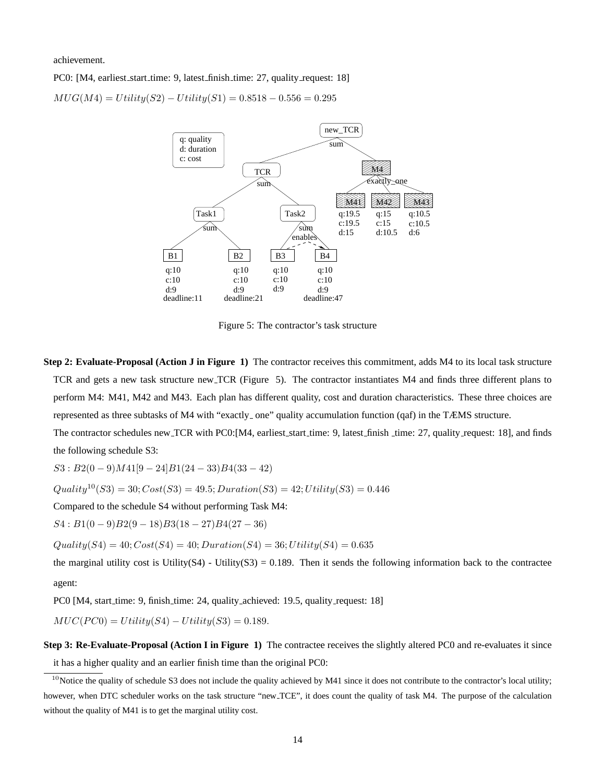achievement.

PC0: [M4, earliest start time: 9, latest finish time: 27, quality request: 18]

$$
MUG(M4) = Utility(S2) - Utility(S1) = 0.8518 - 0.556 = 0.295
$$



Figure 5: The contractor's task structure

**Step 2: Evaluate-Proposal (Action J in Figure 1)** The contractor receives this commitment, adds M4 to its local task structure TCR and gets a new task structure new TCR (Figure 5). The contractor instantiates M4 and finds three different plans to perform M4: M41, M42 and M43. Each plan has different quality, cost and duration characteristics. These three choices are represented as three subtasks of M4 with "exactly one" quality accumulation function (qaf) in the TÆMS structure.

The contractor schedules new TCR with PC0:[M4, earliest\_start\_time: 9, latest\_finish\_time: 27, quality\_request: 18], and finds the following schedule S3:

 $S3 : B2(0-9)M41[9-24]B1(24-33)B4(33-42)$ 

 $Quality^{10}(S3) = 30; Cost(S3) = 49.5; duration(S3) = 42; Utility(S3) = 0.446$ 

Compared to the schedule S4 without performing Task M4:

 $S4 : B1(0-9)B2(9-18)B3(18-27)B4(27-36)$ 

 $Quality(S4) = 40; Cost(S4) = 40; Duration(S4) = 36; Utility(S4) = 0.635$ 

the marginal utility cost is Utility( $S_4$ ) - Utility( $S_3$ ) = 0.189. Then it sends the following information back to the contractee agent:

PC0 [M4, start time: 9, finish time: 24, quality achieved: 19.5, quality request: 18]

$$
MUC(PC0) = Utility(S4) - Utility(S3) = 0.189.
$$

**Step 3: Re-Evaluate-Proposal (Action I in Figure 1)** The contractee receives the slightly altered PC0 and re-evaluates it since it has a higher quality and an earlier finish time than the original PC0:

 $10$ Notice the quality of schedule S3 does not include the quality achieved by M41 since it does not contribute to the contractor's local utility; however, when DTC scheduler works on the task structure "new\_TCE", it does count the quality of task M4. The purpose of the calculation without the quality of M41 is to get the marginal utility cost.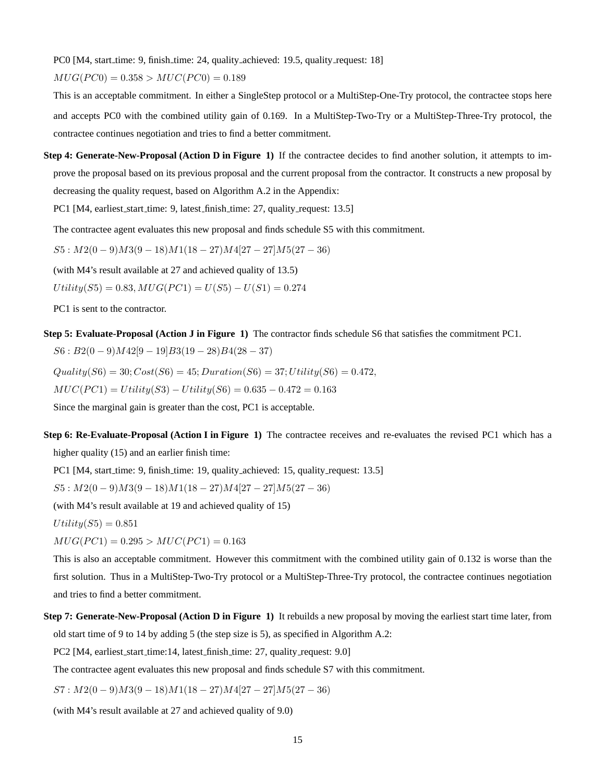PC0 [M4, start time: 9, finish time: 24, quality achieved: 19.5, quality request: 18]

 $MUG(PCO) = 0.358 > MUC(PCO) = 0.189$ 

This is an acceptable commitment. In either a SingleStep protocol or a MultiStep-One-Try protocol, the contractee stops here and accepts PC0 with the combined utility gain of 0.169. In a MultiStep-Two-Try or a MultiStep-Three-Try protocol, the contractee continues negotiation and tries to find a better commitment.

**Step 4: Generate-New-Proposal (Action D in Figure 1)** If the contractee decides to find another solution, it attempts to improve the proposal based on its previous proposal and the current proposal from the contractor. It constructs a new proposal by decreasing the quality request, based on Algorithm A.2 in the Appendix:

PC1 [M4, earliest start time: 9, latest finish time: 27, quality request: 13.5]

The contractee agent evaluates this new proposal and finds schedule S5 with this commitment.

 $S5$ :  $M2(0-9)M3(9-18)M1(18-27)M4[27-27]M5(27-36)$ 

(with M4's result available at 27 and achieved quality of 13.5)

 $Utility(S5) = 0.83, MUG(PC1) = U(S5) - U(S1) = 0.274$ 

PC1 is sent to the contractor.

**Step 5: Evaluate-Proposal (Action J in Figure 1)** The contractor finds schedule S6 that satisfies the commitment PC1.

 $S6 : B2(0-9)M42[9-19]B3(19-28)B4(28-37)$ 

 $Quality(S6) = 30; Cost(S6) = 45; duration(S6) = 37; Utility(S6) = 0.472,$ 

 $MUC(PC1) = Utility(S3) - Utility(S6) = 0.635 - 0.472 = 0.163$ 

Since the marginal gain is greater than the cost, PC1 is acceptable.

**Step 6: Re-Evaluate-Proposal (Action I in Figure 1)** The contractee receives and re-evaluates the revised PC1 which has a higher quality (15) and an earlier finish time:

PC1 [M4, start time: 9, finish time: 19, quality achieved: 15, quality request: 13.5]

 $S5$ :  $M2(0-9)M3(9-18)M1(18-27)M4[27-27]M5(27-36)$ 

(with M4's result available at 19 and achieved quality of 15)

 $Utility(S5) = 0.851$ 

 $MUG(PC1) = 0.295 > MUC(PC1) = 0.163$ 

This is also an acceptable commitment. However this commitment with the combined utility gain of 0.132 is worse than the first solution. Thus in a MultiStep-Two-Try protocol or a MultiStep-Three-Try protocol, the contractee continues negotiation and tries to find a better commitment.

**Step 7: Generate-New-Proposal (Action D in Figure 1)** It rebuilds a new proposal by moving the earliest start time later, from old start time of 9 to 14 by adding 5 (the step size is 5), as specified in Algorithm A.2:

PC2 [M4, earliest\_start\_time:14, latest\_finish\_time: 27, quality\_request: 9.0]

The contractee agent evaluates this new proposal and finds schedule S7 with this commitment.

 $S7: M2(0-9)M3(9-18)M1(18-27)M4[27-27]M5(27-36)$ 

(with M4's result available at 27 and achieved quality of 9.0)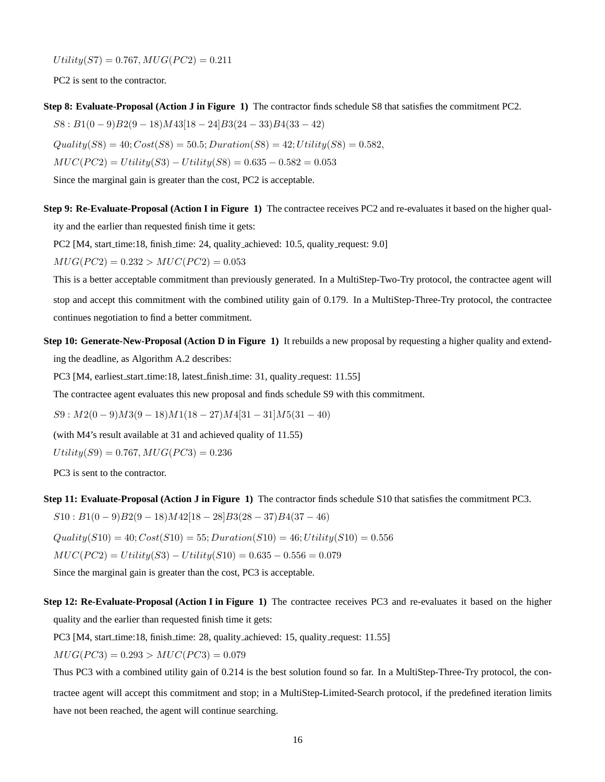$Utility(S7) = 0.767, MUG(PC2) = 0.211$ 

PC2 is sent to the contractor.

**Step 8: Evaluate-Proposal (Action J in Figure 1)** The contractor finds schedule S8 that satisfies the commitment PC2.

 $SS : B1(0-9)B2(9-18)M43[18-24]B3(24-33)B4(33-42)$ 

 $Quality(S8) = 40; Cost(S8) = 50.5; duration(S8) = 42; Utility(S8) = 0.582,$ 

 $MUC(PC2) = Utility(S3) - Utility(S8) = 0.635 - 0.582 = 0.053$ 

Since the marginal gain is greater than the cost, PC2 is acceptable.

**Step 9: Re-Evaluate-Proposal (Action I in Figure 1)** The contractee receives PC2 and re-evaluates it based on the higher qual-

ity and the earlier than requested finish time it gets:

PC2 [M4, start time:18, finish time: 24, quality achieved: 10.5, quality request: 9.0]

 $MUG(PC2) = 0.232 > MUC(PC2) = 0.053$ 

This is a better acceptable commitment than previously generated. In a MultiStep-Two-Try protocol, the contractee agent will stop and accept this commitment with the combined utility gain of 0.179. In a MultiStep-Three-Try protocol, the contractee continues negotiation to find a better commitment.

**Step 10: Generate-New-Proposal (Action D in Figure 1)** It rebuilds a new proposal by requesting a higher quality and extending the deadline, as Algorithm A.2 describes:

PC3 [M4, earliest start time:18, latest finish time: 31, quality request: 11.55]

The contractee agent evaluates this new proposal and finds schedule S9 with this commitment.

 $SS: M2(0-9)M3(9-18)M1(18-27)M4[31-31]M5(31-40)$ 

(with M4's result available at 31 and achieved quality of 11.55)

 $Utility(S9) = 0.767, MUG(PC3) = 0.236$ 

PC3 is sent to the contractor.

## **Step 11: Evaluate-Proposal (Action J in Figure 1)** The contractor finds schedule S10 that satisfies the commitment PC3.

 $S10 : B1(0-9)B2(9-18)M42[18-28]B3(28-37)B4(37-46)$ 

 $Quality(S10) = 40; Cost(S10) = 55; duration(S10) = 46; Utility(S10) = 0.556$ 

 $MUC(PC2) = Utility(S3) - Utility(S10) = 0.635 - 0.556 = 0.079$ 

Since the marginal gain is greater than the cost, PC3 is acceptable.

**Step 12: Re-Evaluate-Proposal (Action I in Figure 1)** The contractee receives PC3 and re-evaluates it based on the higher quality and the earlier than requested finish time it gets:

PC3 [M4, start time:18, finish time: 28, quality achieved: 15, quality request: 11.55]

 $MUG(PC3) = 0.293 > MUC(PC3) = 0.079$ 

Thus PC3 with a combined utility gain of 0.214 is the best solution found so far. In a MultiStep-Three-Try protocol, the con-

tractee agent will accept this commitment and stop; in a MultiStep-Limited-Search protocol, if the predefined iteration limits have not been reached, the agent will continue searching.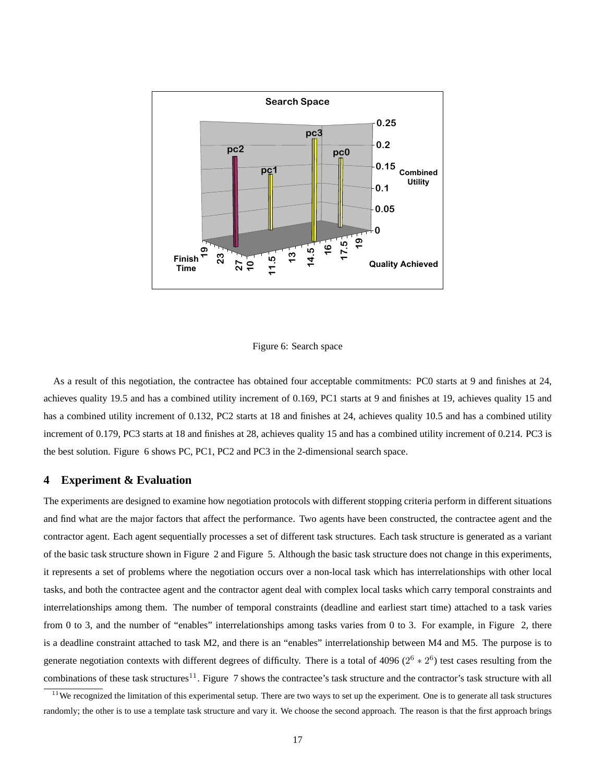

#### Figure 6: Search space

As a result of this negotiation, the contractee has obtained four acceptable commitments: PC0 starts at 9 and finishes at 24, achieves quality 19.5 and has a combined utility increment of 0.169, PC1 starts at 9 and finishes at 19, achieves quality 15 and has a combined utility increment of 0.132, PC2 starts at 18 and finishes at 24, achieves quality 10.5 and has a combined utility increment of 0.179, PC3 starts at 18 and finishes at 28, achieves quality 15 and has a combined utility increment of 0.214. PC3 is the best solution. Figure 6 shows PC, PC1, PC2 and PC3 in the 2-dimensional search space.

# **4 Experiment & Evaluation**

The experiments are designed to examine how negotiation protocols with different stopping criteria perform in different situations and find what are the major factors that affect the performance. Two agents have been constructed, the contractee agent and the contractor agent. Each agent sequentially processes a set of different task structures. Each task structure is generated as a variant of the basic task structure shown in Figure 2 and Figure 5. Although the basic task structure does not change in this experiments, it represents a set of problems where the negotiation occurs over a non-local task which has interrelationships with other local tasks, and both the contractee agent and the contractor agent deal with complex local tasks which carry temporal constraints and interrelationships among them. The number of temporal constraints (deadline and earliest start time) attached to a task varies from 0 to 3, and the number of "enables" interrelationships among tasks varies from 0 to 3. For example, in Figure 2, there is a deadline constraint attached to task M2, and there is an "enables" interrelationship between M4 and M5. The purpose is to generate negotiation contexts with different degrees of difficulty. There is a total of 4096 ( $2^6 * 2^6$ ) test cases resulting from the combinations of these task structures<sup>11</sup>. Figure 7 shows the contractee's task structure and the contractor's task structure with all

 $11$ We recognized the limitation of this experimental setup. There are two ways to set up the experiment. One is to generate all task structures randomly; the other is to use a template task structure and vary it. We choose the second approach. The reason is that the first approach brings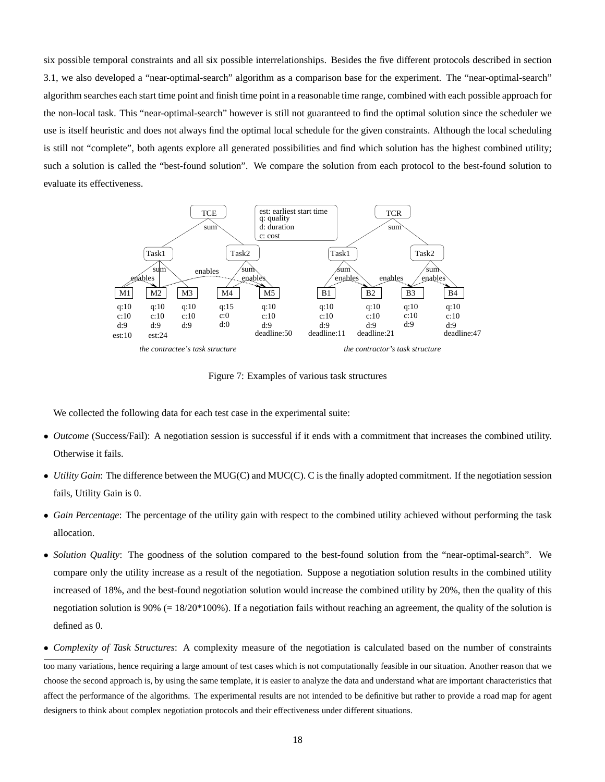six possible temporal constraints and all six possible interrelationships. Besides the five different protocols described in section 3.1, we also developed a "near-optimal-search" algorithm as a comparison base for the experiment. The "near-optimal-search" algorithm searches each start time point and finish time point in a reasonable time range, combined with each possible approach for the non-local task. This "near-optimal-search" however is still not guaranteed to find the optimal solution since the scheduler we use is itself heuristic and does not always find the optimal local schedule for the given constraints. Although the local scheduling is still not "complete", both agents explore all generated possibilities and find which solution has the highest combined utility; such a solution is called the "best-found solution". We compare the solution from each protocol to the best-found solution to evaluate its effectiveness.



Figure 7: Examples of various task structures

We collected the following data for each test case in the experimental suite:

- *Outcome* (Success/Fail): A negotiation session is successful if it ends with a commitment that increases the combined utility. Otherwise it fails.
- *Utility Gain*: The difference between the MUG(C) and MUC(C). C is the finally adopted commitment. If the negotiation session fails, Utility Gain is 0.
- *Gain Percentage*: The percentage of the utility gain with respect to the combined utility achieved without performing the task allocation.
- *Solution Quality*: The goodness of the solution compared to the best-found solution from the "near-optimal-search". We compare only the utility increase as a result of the negotiation. Suppose a negotiation solution results in the combined utility increased of 18%, and the best-found negotiation solution would increase the combined utility by 20%, then the quality of this negotiation solution is  $90\%$  (=  $18/20*100\%$ ). If a negotiation fails without reaching an agreement, the quality of the solution is defined as 0.
- *Complexity of Task Structures*: A complexity measure of the negotiation is calculated based on the number of constraints too many variations, hence requiring a large amount of test cases which is not computationally feasible in our situation. Another reason that we choose the second approach is, by using the same template, it is easier to analyze the data and understand what are important characteristics that affect the performance of the algorithms. The experimental results are not intended to be definitive but rather to provide a road map for agent designers to think about complex negotiation protocols and their effectiveness under different situations.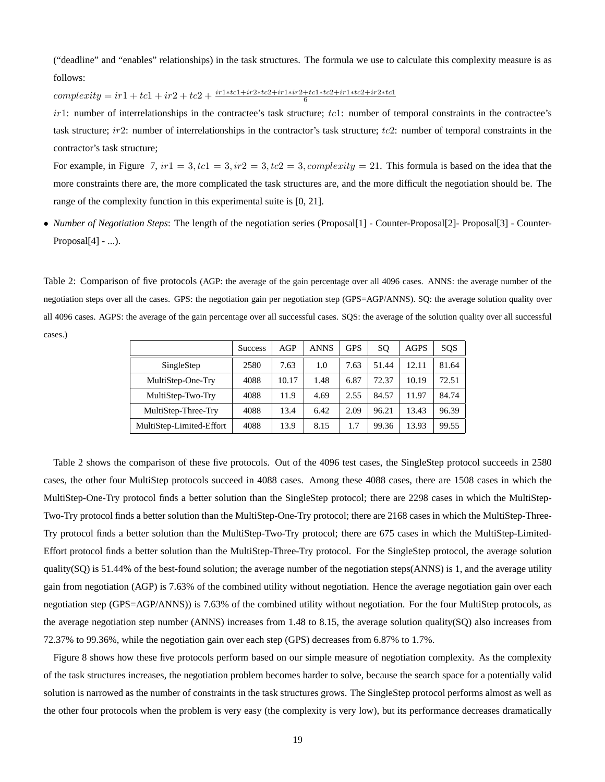("deadline" and "enables" relationships) in the task structures. The formula we use to calculate this complexity measure is as follows:

 $complexity = ir1 + tc1 + ir2 + tc2 + \frac{ir1 * tc1 + ir2 * tc2 + ir1 * ir2 + tc1 * tc2 + ir1 * tc2 + ir2 * tc1}{6}$ 

 $ir1$ : number of interrelationships in the contractee's task structure;  $tc1$ : number of temporal constraints in the contractee's task structure;  $ir2$ : number of interrelationships in the contractor's task structure;  $tc2$ : number of temporal constraints in the contractor's task structure;

For example, in Figure 7,  $ir1 = 3, tc1 = 3, ir2 = 3, tc2 = 3, complexity = 21$ . This formula is based on the idea that the more constraints there are, the more complicated the task structures are, and the more difficult the negotiation should be. The range of the complexity function in this experimental suite is [0, 21].

• *Number of Negotiation Steps*: The length of the negotiation series (Proposal[1] - Counter-Proposal[2]- Proposal[3] - Counter-Proposal $[4]$  - ...).

Table 2: Comparison of five protocols (AGP: the average of the gain percentage over all 4096 cases. ANNS: the average number of the negotiation steps over all the cases. GPS: the negotiation gain per negotiation step (GPS=AGP/ANNS). SQ: the average solution quality over all 4096 cases. AGPS: the average of the gain percentage over all successful cases. SQS: the average of the solution quality over all successful cases.)

|                          | <b>Success</b> | AGP   | <b>ANNS</b> | <b>GPS</b> | SO.   | <b>AGPS</b> | SQS   |
|--------------------------|----------------|-------|-------------|------------|-------|-------------|-------|
| SingleStep               | 2580           | 7.63  | 1.0         | 7.63       | 51.44 | 12.11       | 81.64 |
| MultiStep-One-Try        | 4088           | 10.17 | 1.48        | 6.87       | 72.37 | 10.19       | 72.51 |
| MultiStep-Two-Try        | 4088           | 11.9  | 4.69        | 2.55       | 84.57 | 11.97       | 84.74 |
| MultiStep-Three-Try      | 4088           | 13.4  | 6.42        | 2.09       | 96.21 | 13.43       | 96.39 |
| MultiStep-Limited-Effort | 4088           | 13.9  | 8.15        | 1.7        | 99.36 | 13.93       | 99.55 |

Table 2 shows the comparison of these five protocols. Out of the 4096 test cases, the SingleStep protocol succeeds in 2580 cases, the other four MultiStep protocols succeed in 4088 cases. Among these 4088 cases, there are 1508 cases in which the MultiStep-One-Try protocol finds a better solution than the SingleStep protocol; there are 2298 cases in which the MultiStep-Two-Try protocol finds a better solution than the MultiStep-One-Try protocol; there are 2168 cases in which the MultiStep-Three-Try protocol finds a better solution than the MultiStep-Two-Try protocol; there are 675 cases in which the MultiStep-Limited-Effort protocol finds a better solution than the MultiStep-Three-Try protocol. For the SingleStep protocol, the average solution quality(SQ) is 51.44% of the best-found solution; the average number of the negotiation steps(ANNS) is 1, and the average utility gain from negotiation (AGP) is 7.63% of the combined utility without negotiation. Hence the average negotiation gain over each negotiation step (GPS=AGP/ANNS)) is 7.63% of the combined utility without negotiation. For the four MultiStep protocols, as the average negotiation step number (ANNS) increases from 1.48 to 8.15, the average solution quality(SQ) also increases from 72.37% to 99.36%, while the negotiation gain over each step (GPS) decreases from 6.87% to 1.7%.

Figure 8 shows how these five protocols perform based on our simple measure of negotiation complexity. As the complexity of the task structures increases, the negotiation problem becomes harder to solve, because the search space for a potentially valid solution is narrowed as the number of constraints in the task structures grows. The SingleStep protocol performs almost as well as the other four protocols when the problem is very easy (the complexity is very low), but its performance decreases dramatically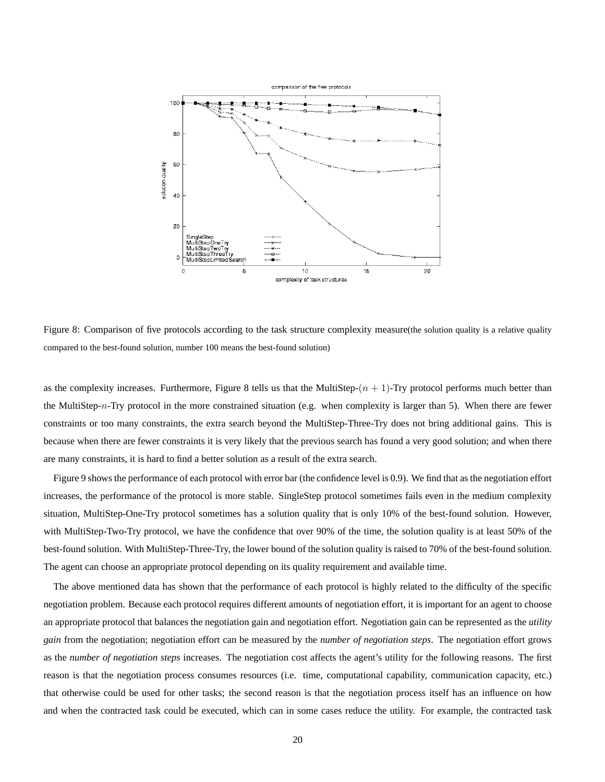

Figure 8: Comparison of five protocols according to the task structure complexity measure(the solution quality is a relative quality compared to the best-found solution, number 100 means the best-found solution)

as the complexity increases. Furthermore, Figure 8 tells us that the MultiStep- $(n + 1)$ -Try protocol performs much better than the MultiStep-n-Try protocol in the more constrained situation (e.g. when complexity is larger than 5). When there are fewer constraints or too many constraints, the extra search beyond the MultiStep-Three-Try does not bring additional gains. This is because when there are fewer constraints it is very likely that the previous search has found a very good solution; and when there are many constraints, it is hard to find a better solution as a result of the extra search.

Figure 9 shows the performance of each protocol with error bar (the confidence level is 0.9). We find that as the negotiation effort increases, the performance of the protocol is more stable. SingleStep protocol sometimes fails even in the medium complexity situation, MultiStep-One-Try protocol sometimes has a solution quality that is only 10% of the best-found solution. However, with MultiStep-Two-Try protocol, we have the confidence that over 90% of the time, the solution quality is at least 50% of the best-found solution. With MultiStep-Three-Try, the lower bound of the solution quality is raised to 70% of the best-found solution. The agent can choose an appropriate protocol depending on its quality requirement and available time.

The above mentioned data has shown that the performance of each protocol is highly related to the difficulty of the specific negotiation problem. Because each protocol requires different amounts of negotiation effort, it is important for an agent to choose an appropriate protocol that balances the negotiation gain and negotiation effort. Negotiation gain can be represented as the *utility gain* from the negotiation; negotiation effort can be measured by the *number of negotiation steps*. The negotiation effort grows as the *number of negotiation steps* increases. The negotiation cost affects the agent's utility for the following reasons. The first reason is that the negotiation process consumes resources (i.e. time, computational capability, communication capacity, etc.) that otherwise could be used for other tasks; the second reason is that the negotiation process itself has an influence on how and when the contracted task could be executed, which can in some cases reduce the utility. For example, the contracted task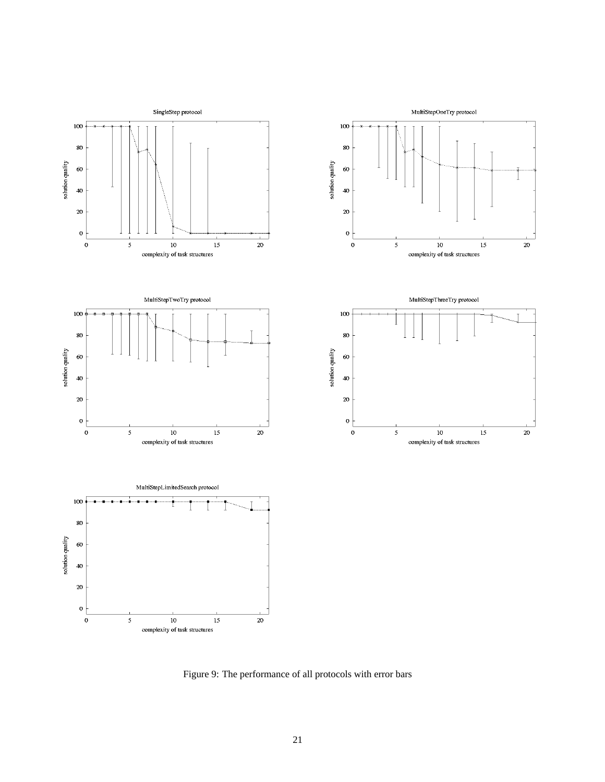

Figure 9: The performance of all protocols with error bars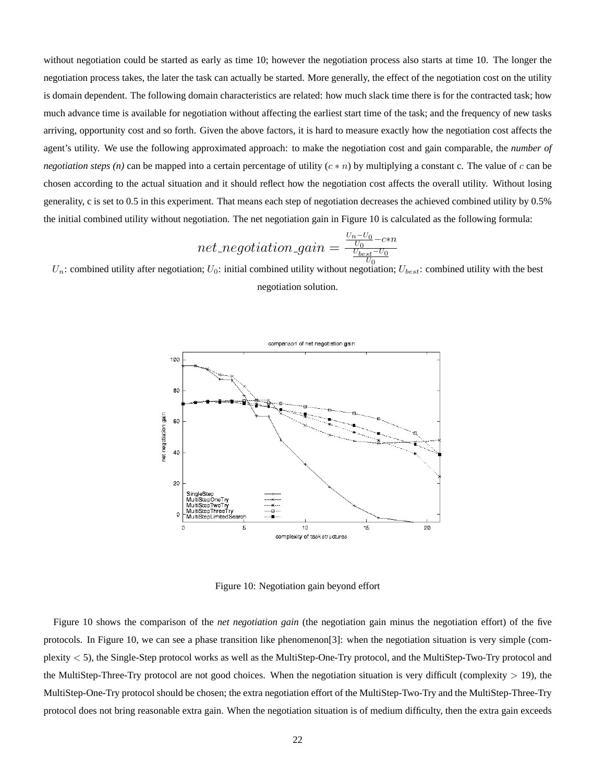without negotiation could be started as early as time 10; however the negotiation process also starts at time 10. The longer the negotiation process takes, the later the task can actually be started. More generally, the effect of the negotiation cost on the utility is domain dependent. The following domain characteristics are related: how much slack time there is for the contracted task; how much advance time is available for negotiation without affecting the earliest start time of the task; and the frequency of new tasks arriving, opportunity cost and so forth. Given the above factors, it is hard to measure exactly how the negotiation cost affects the agent's utility. We use the following approximated approach: to make the negotiation cost and gain comparable, the *number of negotiation steps* (n) can be mapped into a certain percentage of utility  $(c * n)$  by multiplying a constant c. The value of c can be chosen according to the actual situation and it should reflect how the negotiation cost affects the overall utility. Without losing generality, c is set to 0.5 in this experiment. That means each step of negotiation decreases the achieved combined utility by 0.5% the initial combined utility without negotiation. The net negotiation gain in Figure 10 is calculated as the following formula:

$$
net\_negotiation\_gain = \frac{\frac{U_n - U_0}{U_0} - c*n}{\frac{U_{best} - U_0}{U_0}}
$$

 $U_0$ : combined utility after negotiation;  $U_0$ : initial combined utility without negotiation;  $U_{best}$ : combined utility with the best negotiation solution.



Figure 10: Negotiation gain beyond effort

Figure 10 shows the comparison of the *net negotiation gain* (the negotiation gain minus the negotiation effort) of the five protocols. In Figure 10, we can see a phase transition like phenomenon[3]: when the negotiation situation is very simple (complexity < 5), the Single-Step protocol works as well as the MultiStep-One-Try protocol, and the MultiStep-Two-Try protocol and the MultiStep-Three-Try protocol are not good choices. When the negotiation situation is very difficult (complexity  $> 19$ ), the MultiStep-One-Try protocol should be chosen; the extra negotiation effort of the MultiStep-Two-Try and the MultiStep-Three-Try protocol does not bring reasonable extra gain. When the negotiation situation is of medium difficulty, then the extra gain exceeds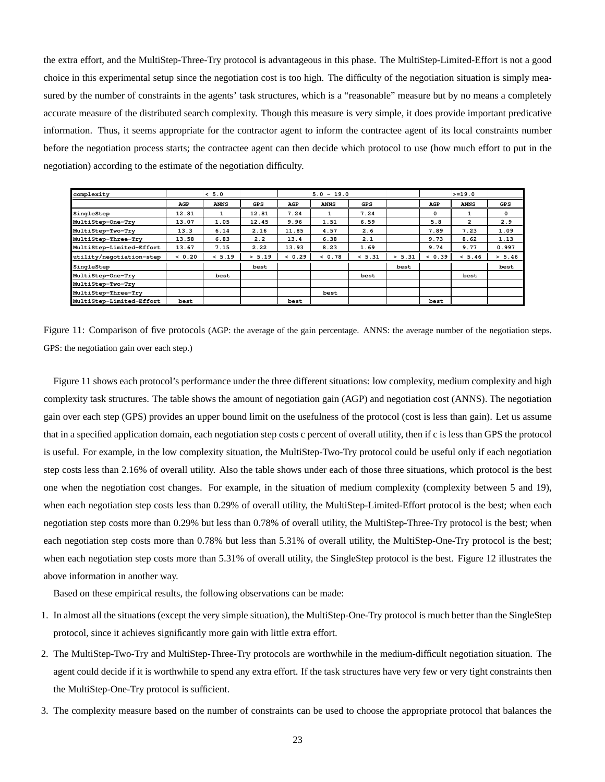the extra effort, and the MultiStep-Three-Try protocol is advantageous in this phase. The MultiStep-Limited-Effort is not a good choice in this experimental setup since the negotiation cost is too high. The difficulty of the negotiation situation is simply measured by the number of constraints in the agents' task structures, which is a "reasonable" measure but by no means a completely accurate measure of the distributed search complexity. Though this measure is very simple, it does provide important predicative information. Thus, it seems appropriate for the contractor agent to inform the contractee agent of its local constraints number before the negotiation process starts; the contractee agent can then decide which protocol to use (how much effort to put in the negotiation) according to the estimate of the negotiation difficulty.

| complexity               | < 5.0  |             |            | $5.0 - 19.0$ |             |            |        | $>=19.0$ |                |            |
|--------------------------|--------|-------------|------------|--------------|-------------|------------|--------|----------|----------------|------------|
|                          | AGP    | <b>ANNS</b> | <b>GPS</b> | AGP          | <b>ANNS</b> | <b>GPS</b> |        | AGP      | <b>ANNS</b>    | <b>GPS</b> |
| SingleStep               | 12.81  | 1           | 12.81      | 7.24         |             | 7.24       |        | 0        |                | 0          |
| MultiStep-One-Try        | 13.07  | 1.05        | 12.45      | 9.96         | 1.51        | 6.59       |        | 5.8      | $\overline{a}$ | 2.9        |
| MultiStep-Two-Try        | 13.3   | 6.14        | 2.16       | 11.85        | 4.57        | 2.6        |        | 7.89     | 7.23           | 1.09       |
| MultiStep-Three-Try      | 13.58  | 6.83        | 2.2        | 13.4         | 6.38        | 2.1        |        | 9.73     | 8.62           | 1.13       |
| MultiStep-Limited-Effort | 13.67  | 7.15        | 2.22       | 13.93        | 8.23        | 1.69       |        | 9.74     | 9.77           | 0.997      |
| utility/negotiation-step | & 0.20 | < 5.19      | > 5.19     | & 0.29       | & 0.78      | < 5.31     | > 5.31 | & 0.39   | < 5.46         | > 5.46     |
| SingleStep               |        |             | best       |              |             |            | best   |          |                | best       |
| MultiStep-One-Try        |        | best        |            |              |             | best       |        |          | best           |            |
| MultiStep-Two-Try        |        |             |            |              |             |            |        |          |                |            |
| MultiStep-Three-Try      |        |             |            |              | best        |            |        |          |                |            |
| MultiStep-Limited-Effort | best   |             |            | best         |             |            |        | best     |                |            |

Figure 11: Comparison of five protocols (AGP: the average of the gain percentage. ANNS: the average number of the negotiation steps. GPS: the negotiation gain over each step.)

Figure 11 shows each protocol's performance under the three different situations: low complexity, medium complexity and high complexity task structures. The table shows the amount of negotiation gain (AGP) and negotiation cost (ANNS). The negotiation gain over each step (GPS) provides an upper bound limit on the usefulness of the protocol (cost is less than gain). Let us assume that in a specified application domain, each negotiation step costs c percent of overall utility, then if c is less than GPS the protocol is useful. For example, in the low complexity situation, the MultiStep-Two-Try protocol could be useful only if each negotiation step costs less than 2.16% of overall utility. Also the table shows under each of those three situations, which protocol is the best one when the negotiation cost changes. For example, in the situation of medium complexity (complexity between 5 and 19), when each negotiation step costs less than 0.29% of overall utility, the MultiStep-Limited-Effort protocol is the best; when each negotiation step costs more than 0.29% but less than 0.78% of overall utility, the MultiStep-Three-Try protocol is the best; when each negotiation step costs more than 0.78% but less than 5.31% of overall utility, the MultiStep-One-Try protocol is the best; when each negotiation step costs more than 5.31% of overall utility, the SingleStep protocol is the best. Figure 12 illustrates the above information in another way.

Based on these empirical results, the following observations can be made:

- 1. In almost all the situations (except the very simple situation), the MultiStep-One-Try protocol is much better than the SingleStep protocol, since it achieves significantly more gain with little extra effort.
- 2. The MultiStep-Two-Try and MultiStep-Three-Try protocols are worthwhile in the medium-difficult negotiation situation. The agent could decide if it is worthwhile to spend any extra effort. If the task structures have very few or very tight constraints then the MultiStep-One-Try protocol is sufficient.
- 3. The complexity measure based on the number of constraints can be used to choose the appropriate protocol that balances the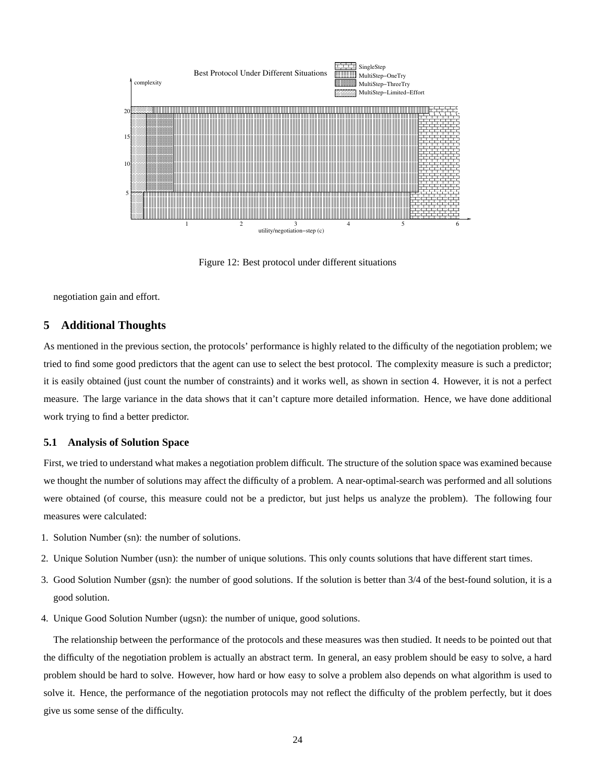

Figure 12: Best protocol under different situations

negotiation gain and effort.

# **5 Additional Thoughts**

As mentioned in the previous section, the protocols' performance is highly related to the difficulty of the negotiation problem; we tried to find some good predictors that the agent can use to select the best protocol. The complexity measure is such a predictor; it is easily obtained (just count the number of constraints) and it works well, as shown in section 4. However, it is not a perfect measure. The large variance in the data shows that it can't capture more detailed information. Hence, we have done additional work trying to find a better predictor.

## **5.1 Analysis of Solution Space**

First, we tried to understand what makes a negotiation problem difficult. The structure of the solution space was examined because we thought the number of solutions may affect the difficulty of a problem. A near-optimal-search was performed and all solutions were obtained (of course, this measure could not be a predictor, but just helps us analyze the problem). The following four measures were calculated:

- 1. Solution Number (sn): the number of solutions.
- 2. Unique Solution Number (usn): the number of unique solutions. This only counts solutions that have different start times.
- 3. Good Solution Number (gsn): the number of good solutions. If the solution is better than 3/4 of the best-found solution, it is a good solution.
- 4. Unique Good Solution Number (ugsn): the number of unique, good solutions.

The relationship between the performance of the protocols and these measures was then studied. It needs to be pointed out that the difficulty of the negotiation problem is actually an abstract term. In general, an easy problem should be easy to solve, a hard problem should be hard to solve. However, how hard or how easy to solve a problem also depends on what algorithm is used to solve it. Hence, the performance of the negotiation protocols may not reflect the difficulty of the problem perfectly, but it does give us some sense of the difficulty.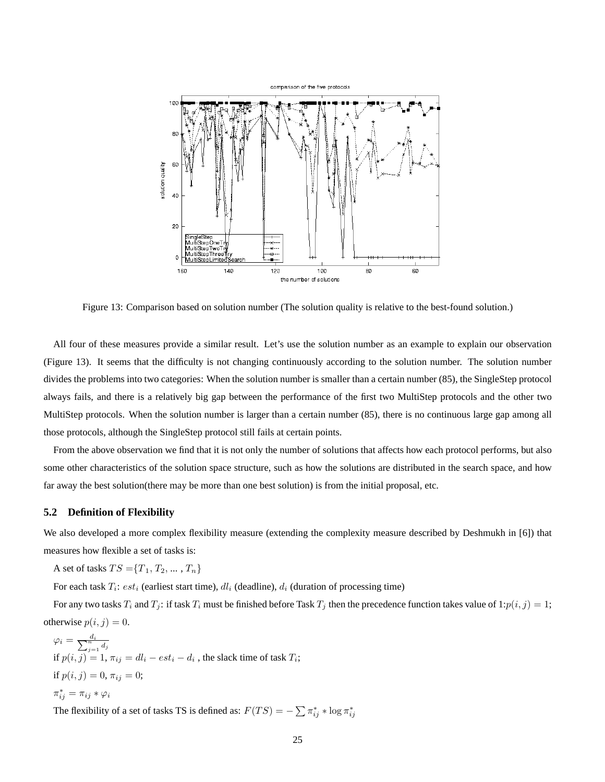

Figure 13: Comparison based on solution number (The solution quality is relative to the best-found solution.)

All four of these measures provide a similar result. Let's use the solution number as an example to explain our observation (Figure 13). It seems that the difficulty is not changing continuously according to the solution number. The solution number divides the problems into two categories: When the solution number is smaller than a certain number (85), the SingleStep protocol always fails, and there is a relatively big gap between the performance of the first two MultiStep protocols and the other two MultiStep protocols. When the solution number is larger than a certain number (85), there is no continuous large gap among all those protocols, although the SingleStep protocol still fails at certain points.

From the above observation we find that it is not only the number of solutions that affects how each protocol performs, but also some other characteristics of the solution space structure, such as how the solutions are distributed in the search space, and how far away the best solution(there may be more than one best solution) is from the initial proposal, etc.

# **5.2 Definition of Flexibility**

We also developed a more complex flexibility measure (extending the complexity measure described by Deshmukh in [6]) that measures how flexible a set of tasks is:

A set of tasks  $TS = \{T_1, T_2, \dots, T_n\}$ 

For each task  $T_i$ :  $est_i$  (earliest start time),  $dl_i$  (deadline),  $d_i$  (duration of processing time)

For any two tasks  $T_i$  and  $T_j$ : if task  $T_i$  must be finished before Task  $T_j$  then the precedence function takes value of  $1:p(i, j) = 1;$ otherwise  $p(i, j) = 0$ .

 $\varphi_i = \frac{d_i}{\sum_{j=1}^n d_j}$ if  $p(i, j) = 1$ ,  $\pi_{ij} = dl_i - est_i - d_i$ , the slack time of task  $T_i$ ; if  $p(i, j) = 0, \pi_{ij} = 0;$  $\pi_{ij}^* = \pi_{ij} * \varphi_i$ 

The flexibility of a set of tasks TS is defined as:  $F(TS) = -\sum \pi_{ij}^* * \log \pi_{ij}^*$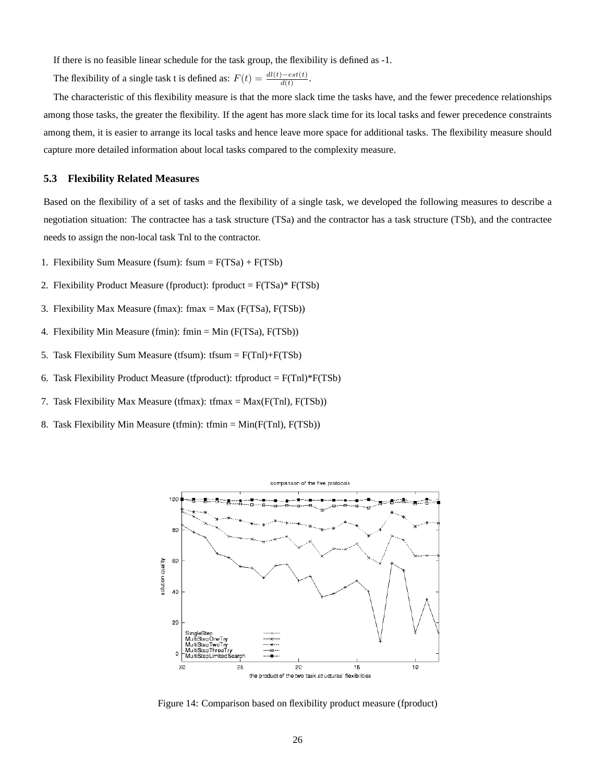If there is no feasible linear schedule for the task group, the flexibility is defined as -1.

The flexibility of a single task t is defined as:  $F(t) = \frac{dl(t) - est(t)}{d(t)}$ .

The characteristic of this flexibility measure is that the more slack time the tasks have, and the fewer precedence relationships among those tasks, the greater the flexibility. If the agent has more slack time for its local tasks and fewer precedence constraints among them, it is easier to arrange its local tasks and hence leave more space for additional tasks. The flexibility measure should capture more detailed information about local tasks compared to the complexity measure.

# **5.3 Flexibility Related Measures**

Based on the flexibility of a set of tasks and the flexibility of a single task, we developed the following measures to describe a negotiation situation: The contractee has a task structure (TSa) and the contractor has a task structure (TSb), and the contractee needs to assign the non-local task Tnl to the contractor.

- 1. Flexibility Sum Measure (fsum):  $fsum = F(TSa) + F(TSb)$
- 2. Flexibility Product Measure (fproduct): fproduct =  $F(TSa)*F(TSb)$
- 3. Flexibility Max Measure (fmax): fmax = Max (F(TSa), F(TSb))
- 4. Flexibility Min Measure (fmin): fmin = Min (F(TSa), F(TSb))
- 5. Task Flexibility Sum Measure (tfsum): tfsum = F(Tnl)+F(TSb)
- 6. Task Flexibility Product Measure (tfproduct): tfproduct =  $F(Tnl)*F(TSb)$
- 7. Task Flexibility Max Measure (tfmax): tfmax = Max(F(Tnl), F(TSb))
- 8. Task Flexibility Min Measure (tfmin): tfmin = Min(F(Tnl), F(TSb))



Figure 14: Comparison based on flexibility product measure (fproduct)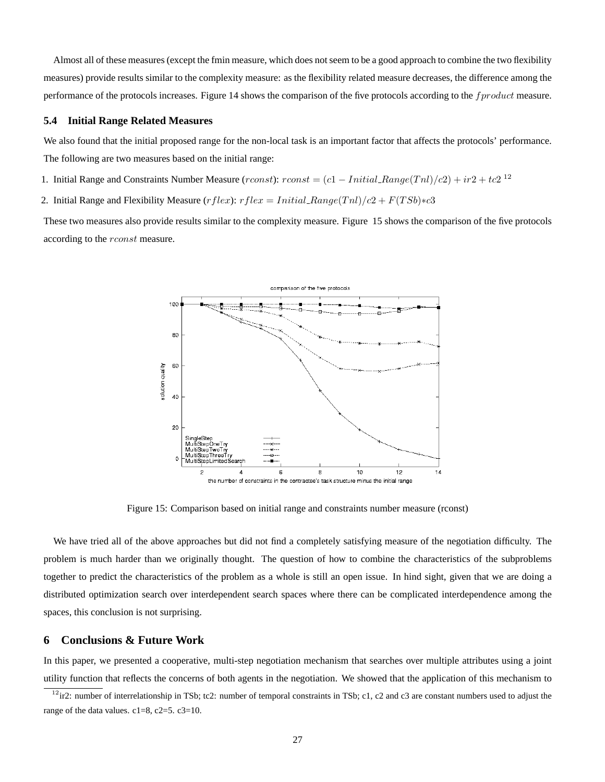Almost all of these measures (except the fmin measure, which does not seem to be a good approach to combine the two flexibility measures) provide results similar to the complexity measure: as the flexibility related measure decreases, the difference among the performance of the protocols increases. Figure 14 shows the comparison of the five protocols according to the *f product* measure.

# **5.4 Initial Range Related Measures**

We also found that the initial proposed range for the non-local task is an important factor that affects the protocols' performance. The following are two measures based on the initial range:

- 1. Initial Range and Constraints Number Measure (rconst): rconst =  $(c1 Initial\_Range(Tnl)/c2) + ir2 + tc2$ <sup>12</sup>
- 2. Initial Range and Flexibility Measure (rflex): rflex = Initial Range(Tnl)/c2 + F(TSb)∗c3

These two measures also provide results similar to the complexity measure. Figure 15 shows the comparison of the five protocols according to the *rconst* measure.



Figure 15: Comparison based on initial range and constraints number measure (rconst)

We have tried all of the above approaches but did not find a completely satisfying measure of the negotiation difficulty. The problem is much harder than we originally thought. The question of how to combine the characteristics of the subproblems together to predict the characteristics of the problem as a whole is still an open issue. In hind sight, given that we are doing a distributed optimization search over interdependent search spaces where there can be complicated interdependence among the spaces, this conclusion is not surprising.

# **6 Conclusions & Future Work**

In this paper, we presented a cooperative, multi-step negotiation mechanism that searches over multiple attributes using a joint utility function that reflects the concerns of both agents in the negotiation. We showed that the application of this mechanism to

 $^{12}$ ir2: number of interrelationship in TSb; tc2: number of temporal constraints in TSb; c1, c2 and c3 are constant numbers used to adjust the range of the data values.  $c1=8$ ,  $c2=5$ .  $c3=10$ .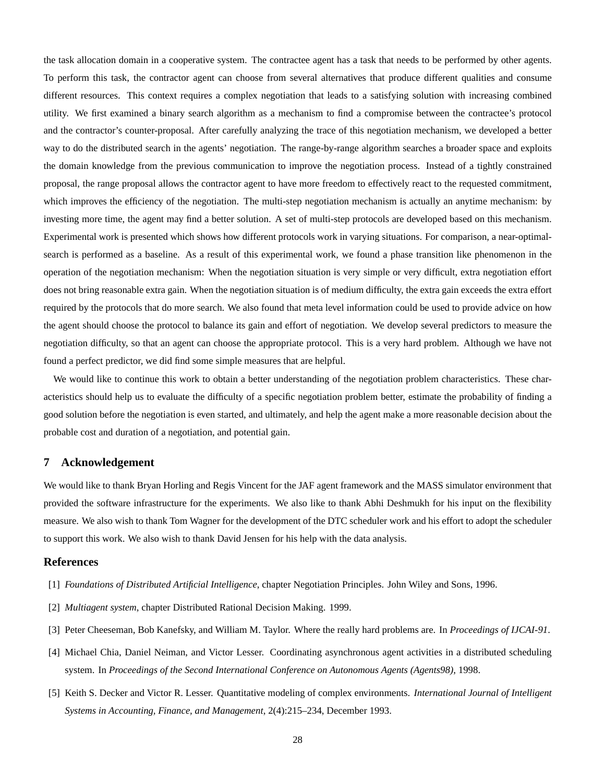the task allocation domain in a cooperative system. The contractee agent has a task that needs to be performed by other agents. To perform this task, the contractor agent can choose from several alternatives that produce different qualities and consume different resources. This context requires a complex negotiation that leads to a satisfying solution with increasing combined utility. We first examined a binary search algorithm as a mechanism to find a compromise between the contractee's protocol and the contractor's counter-proposal. After carefully analyzing the trace of this negotiation mechanism, we developed a better way to do the distributed search in the agents' negotiation. The range-by-range algorithm searches a broader space and exploits the domain knowledge from the previous communication to improve the negotiation process. Instead of a tightly constrained proposal, the range proposal allows the contractor agent to have more freedom to effectively react to the requested commitment, which improves the efficiency of the negotiation. The multi-step negotiation mechanism is actually an anytime mechanism: by investing more time, the agent may find a better solution. A set of multi-step protocols are developed based on this mechanism. Experimental work is presented which shows how different protocols work in varying situations. For comparison, a near-optimalsearch is performed as a baseline. As a result of this experimental work, we found a phase transition like phenomenon in the operation of the negotiation mechanism: When the negotiation situation is very simple or very difficult, extra negotiation effort does not bring reasonable extra gain. When the negotiation situation is of medium difficulty, the extra gain exceeds the extra effort required by the protocols that do more search. We also found that meta level information could be used to provide advice on how the agent should choose the protocol to balance its gain and effort of negotiation. We develop several predictors to measure the negotiation difficulty, so that an agent can choose the appropriate protocol. This is a very hard problem. Although we have not found a perfect predictor, we did find some simple measures that are helpful.

We would like to continue this work to obtain a better understanding of the negotiation problem characteristics. These characteristics should help us to evaluate the difficulty of a specific negotiation problem better, estimate the probability of finding a good solution before the negotiation is even started, and ultimately, and help the agent make a more reasonable decision about the probable cost and duration of a negotiation, and potential gain.

## **7 Acknowledgement**

We would like to thank Bryan Horling and Regis Vincent for the JAF agent framework and the MASS simulator environment that provided the software infrastructure for the experiments. We also like to thank Abhi Deshmukh for his input on the flexibility measure. We also wish to thank Tom Wagner for the development of the DTC scheduler work and his effort to adopt the scheduler to support this work. We also wish to thank David Jensen for his help with the data analysis.

# **References**

- [1] *Foundations of Distributed Artificial Intelligence*, chapter Negotiation Principles. John Wiley and Sons, 1996.
- [2] *Multiagent system*, chapter Distributed Rational Decision Making. 1999.
- [3] Peter Cheeseman, Bob Kanefsky, and William M. Taylor. Where the really hard problems are. In *Proceedings of IJCAI-91*.
- [4] Michael Chia, Daniel Neiman, and Victor Lesser. Coordinating asynchronous agent activities in a distributed scheduling system. In *Proceedings of the Second International Conference on Autonomous Agents (Agents98)*, 1998.
- [5] Keith S. Decker and Victor R. Lesser. Quantitative modeling of complex environments. *International Journal of Intelligent Systems in Accounting, Finance, and Management*, 2(4):215–234, December 1993.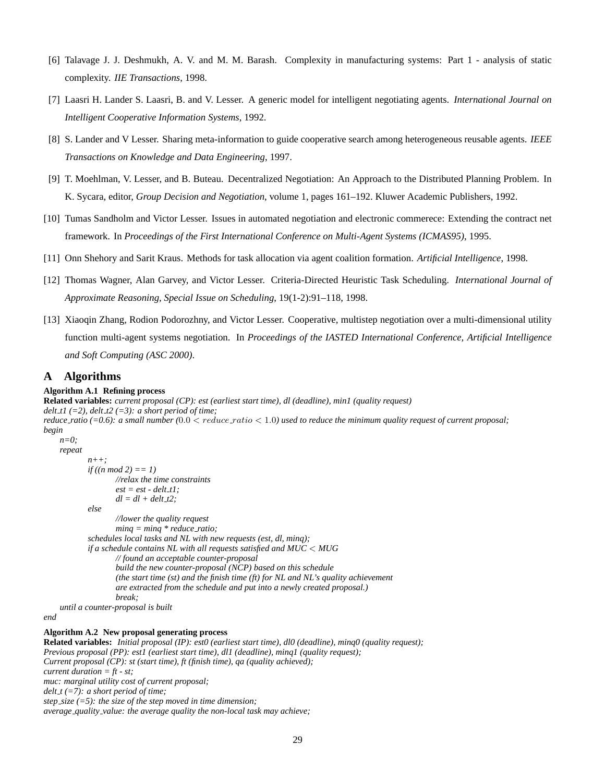- [6] Talavage J. J. Deshmukh, A. V. and M. M. Barash. Complexity in manufacturing systems: Part 1 analysis of static complexity. *IIE Transactions*, 1998.
- [7] Laasri H. Lander S. Laasri, B. and V. Lesser. A generic model for intelligent negotiating agents. *International Journal on Intelligent Cooperative Information Systems*, 1992.
- [8] S. Lander and V Lesser. Sharing meta-information to guide cooperative search among heterogeneous reusable agents. *IEEE Transactions on Knowledge and Data Engineering*, 1997.
- [9] T. Moehlman, V. Lesser, and B. Buteau. Decentralized Negotiation: An Approach to the Distributed Planning Problem. In K. Sycara, editor, *Group Decision and Negotiation*, volume 1, pages 161–192. Kluwer Academic Publishers, 1992.
- [10] Tumas Sandholm and Victor Lesser. Issues in automated negotiation and electronic commerece: Extending the contract net framework. In *Proceedings of the First International Conference on Multi-Agent Systems (ICMAS95)*, 1995.
- [11] Onn Shehory and Sarit Kraus. Methods for task allocation via agent coalition formation. *Artificial Intelligence*, 1998.
- [12] Thomas Wagner, Alan Garvey, and Victor Lesser. Criteria-Directed Heuristic Task Scheduling. *International Journal of Approximate Reasoning, Special Issue on Scheduling*, 19(1-2):91–118, 1998.
- [13] Xiaoqin Zhang, Rodion Podorozhny, and Victor Lesser. Cooperative, multistep negotiation over a multi-dimensional utility function multi-agent systems negotiation. In *Proceedings of the IASTED International Conference, Artificial Intelligence and Soft Computing (ASC 2000)*.

# **A Algorithms**

#### **Algorithm A.1 Refining process**

**Related variables:** *current proposal (CP): est (earliest start time), dl (deadline), min1 (quality request) delt*  $\pm 1$  (=2), *delt*  $\pm 2$  (=3): *a short period of time*; *reduce ratio (=0.6): a small number (*0.0 < reduce ratio < 1.0*) used to reduce the minimum quality request of current proposal; begin n=0;*

```
repeat
       n++;
       if ((n mod 2) == 1)
               //relax the time constraints
               est = est - delt t1;
               dl = dl + delt_t2;else
               //lower the quality request
               minq = minq * reduce ratio;
       schedules local tasks and NL with new requests (est, dl, minq);
       if a schedule contains NL with all requests satisfied and MUC < MUG
               // found an acceptable counter-proposal
               build the new counter-proposal (NCP) based on this schedule
               (the start time (st) and the finish time (ft) for NL and NL's quality achievement
               are extracted from the schedule and put into a newly created proposal.)
               break;
until a counter-proposal is built
```
*end*

#### **Algorithm A.2 New proposal generating process**

**Related variables:** *Initial proposal (IP): est0 (earliest start time), dl0 (deadline), minq0 (quality request); Previous proposal (PP): est1 (earliest start time), dl1 (deadline), minq1 (quality request); Current proposal (CP): st (start time), ft (finish time), qa (quality achieved); current duration = ft - st; muc: marginal utility cost of current proposal; delt t (=7): a short period of time; step size (=5): the size of the step moved in time dimension; average quality value: the average quality the non-local task may achieve;*